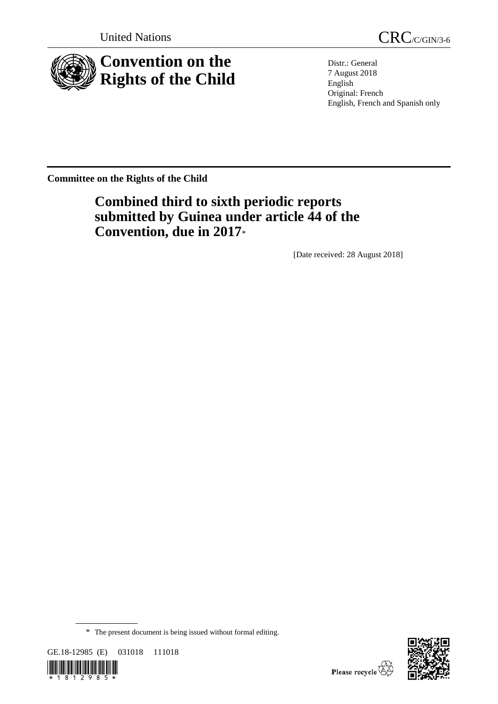

United Nations CRC/C/GIN/3-6

Distr.: General 7 August 2018 English Original: French English, French and Spanish only

**Committee on the Rights of the Child**

# **Combined third to sixth periodic reports submitted by Guinea under article 44 of the Convention, due in 2017**\*

[Date received: 28 August 2018]

<sup>\*</sup> The present document is being issued without formal editing.





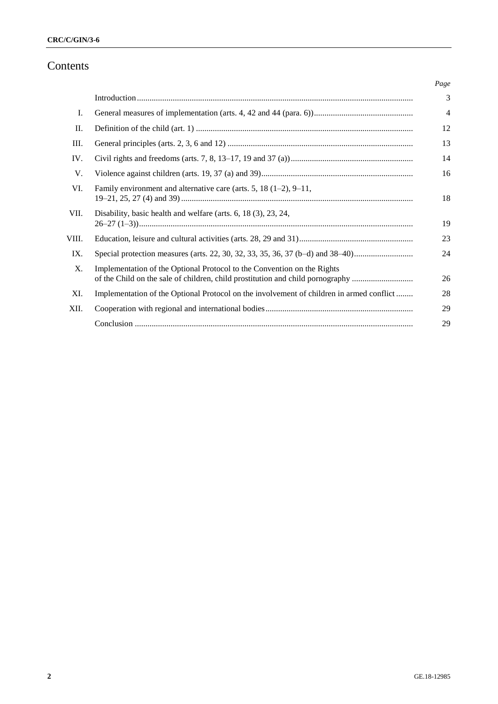## Contents

|       |                                                                                                                                                           | Page           |
|-------|-----------------------------------------------------------------------------------------------------------------------------------------------------------|----------------|
|       |                                                                                                                                                           | 3              |
| Ι.    |                                                                                                                                                           | $\overline{4}$ |
| П.    |                                                                                                                                                           | 12             |
| Ш.    |                                                                                                                                                           | 13             |
| IV.   |                                                                                                                                                           | 14             |
| V.    |                                                                                                                                                           | 16             |
| VI.   | Family environment and alternative care (arts. 5, 18 $(1-2)$ , 9-11,                                                                                      | 18             |
| VII.  | Disability, basic health and welfare (arts. 6, 18 (3), 23, 24,                                                                                            | 19             |
| VIII. |                                                                                                                                                           | 23             |
| IX.   | Special protection measures (arts. 22, 30, 32, 33, 35, 36, 37 (b–d) and 38–40)                                                                            | 24             |
| X.    | Implementation of the Optional Protocol to the Convention on the Rights<br>of the Child on the sale of children, child prostitution and child pornography | 26             |
| XI.   | Implementation of the Optional Protocol on the involvement of children in armed conflict                                                                  | 28             |
| XII.  |                                                                                                                                                           | 29             |
|       |                                                                                                                                                           | 29             |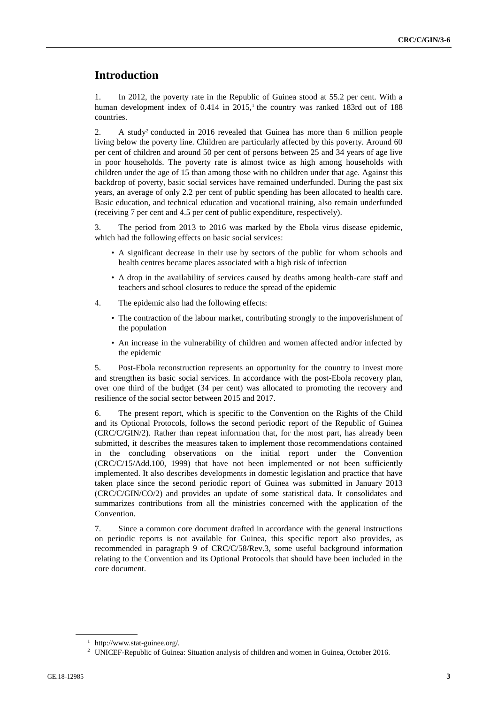## **Introduction**

1. In 2012, the poverty rate in the Republic of Guinea stood at 55.2 per cent. With a human development index of  $0.414$  in  $2015<sup>1</sup>$ , the country was ranked 183rd out of 188 countries.

2. A study<sup>2</sup> conducted in 2016 revealed that Guinea has more than 6 million people living below the poverty line. Children are particularly affected by this poverty. Around 60 per cent of children and around 50 per cent of persons between 25 and 34 years of age live in poor households. The poverty rate is almost twice as high among households with children under the age of 15 than among those with no children under that age. Against this backdrop of poverty, basic social services have remained underfunded. During the past six years, an average of only 2.2 per cent of public spending has been allocated to health care. Basic education, and technical education and vocational training, also remain underfunded (receiving 7 per cent and 4.5 per cent of public expenditure, respectively).

3. The period from 2013 to 2016 was marked by the Ebola virus disease epidemic, which had the following effects on basic social services:

- A significant decrease in their use by sectors of the public for whom schools and health centres became places associated with a high risk of infection
- A drop in the availability of services caused by deaths among health-care staff and teachers and school closures to reduce the spread of the epidemic
- 4. The epidemic also had the following effects:
	- The contraction of the labour market, contributing strongly to the impoverishment of the population
	- An increase in the vulnerability of children and women affected and/or infected by the epidemic

5. Post-Ebola reconstruction represents an opportunity for the country to invest more and strengthen its basic social services. In accordance with the post-Ebola recovery plan, over one third of the budget (34 per cent) was allocated to promoting the recovery and resilience of the social sector between 2015 and 2017.

6. The present report, which is specific to the Convention on the Rights of the Child and its Optional Protocols, follows the second periodic report of the Republic of Guinea (CRC/C/GIN/2). Rather than repeat information that, for the most part, has already been submitted, it describes the measures taken to implement those recommendations contained in the concluding observations on the initial report under the Convention (CRC/C/15/Add.100, 1999) that have not been implemented or not been sufficiently implemented. It also describes developments in domestic legislation and practice that have taken place since the second periodic report of Guinea was submitted in January 2013 (CRC/C/GIN/CO/2) and provides an update of some statistical data. It consolidates and summarizes contributions from all the ministries concerned with the application of the Convention.

7. Since a common core document drafted in accordance with the general instructions on periodic reports is not available for Guinea, this specific report also provides, as recommended in paragraph 9 of CRC/C/58/Rev.3, some useful background information relating to the Convention and its Optional Protocols that should have been included in the core document.

<sup>1</sup> http://www.stat-guinee.org/.

<sup>2</sup> UNICEF-Republic of Guinea: Situation analysis of children and women in Guinea, October 2016.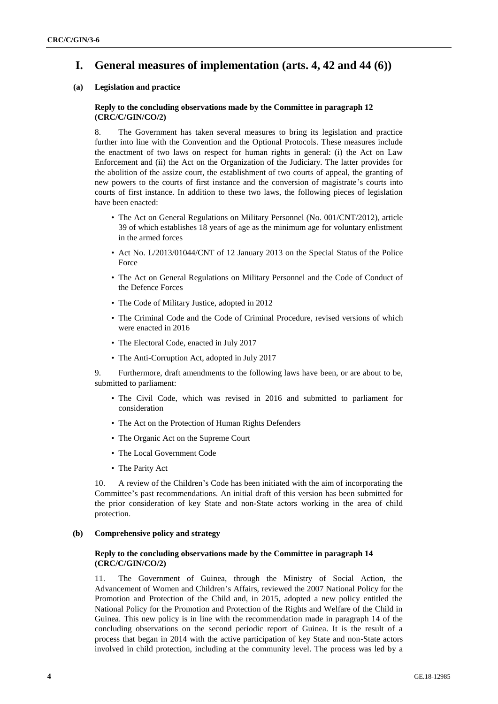## **I. General measures of implementation (arts. 4, 42 and 44 (6))**

## **(a) Legislation and practice**

## **Reply to the concluding observations made by the Committee in paragraph 12 (CRC/C/GIN/CO/2)**

8. The Government has taken several measures to bring its legislation and practice further into line with the Convention and the Optional Protocols. These measures include the enactment of two laws on respect for human rights in general: (i) the Act on Law Enforcement and (ii) the Act on the Organization of the Judiciary. The latter provides for the abolition of the assize court, the establishment of two courts of appeal, the granting of new powers to the courts of first instance and the conversion of magistrate's courts into courts of first instance. In addition to these two laws, the following pieces of legislation have been enacted:

- The Act on General Regulations on Military Personnel (No. 001/CNT/2012), article 39 of which establishes 18 years of age as the minimum age for voluntary enlistment in the armed forces
- Act No. L/2013/01044/CNT of 12 January 2013 on the Special Status of the Police Force
- The Act on General Regulations on Military Personnel and the Code of Conduct of the Defence Forces
- The Code of Military Justice, adopted in 2012
- The Criminal Code and the Code of Criminal Procedure, revised versions of which were enacted in 2016
- The Electoral Code, enacted in July 2017
- The Anti-Corruption Act, adopted in July 2017

9. Furthermore, draft amendments to the following laws have been, or are about to be, submitted to parliament:

- The Civil Code, which was revised in 2016 and submitted to parliament for consideration
- The Act on the Protection of Human Rights Defenders
- The Organic Act on the Supreme Court
- The Local Government Code
- The Parity Act

10. A review of the Children's Code has been initiated with the aim of incorporating the Committee's past recommendations. An initial draft of this version has been submitted for the prior consideration of key State and non-State actors working in the area of child protection.

## **(b) Comprehensive policy and strategy**

## **Reply to the concluding observations made by the Committee in paragraph 14 (CRC/C/GIN/CO/2)**

11. The Government of Guinea, through the Ministry of Social Action, the Advancement of Women and Children's Affairs, reviewed the 2007 National Policy for the Promotion and Protection of the Child and, in 2015, adopted a new policy entitled the National Policy for the Promotion and Protection of the Rights and Welfare of the Child in Guinea. This new policy is in line with the recommendation made in paragraph 14 of the concluding observations on the second periodic report of Guinea. It is the result of a process that began in 2014 with the active participation of key State and non-State actors involved in child protection, including at the community level. The process was led by a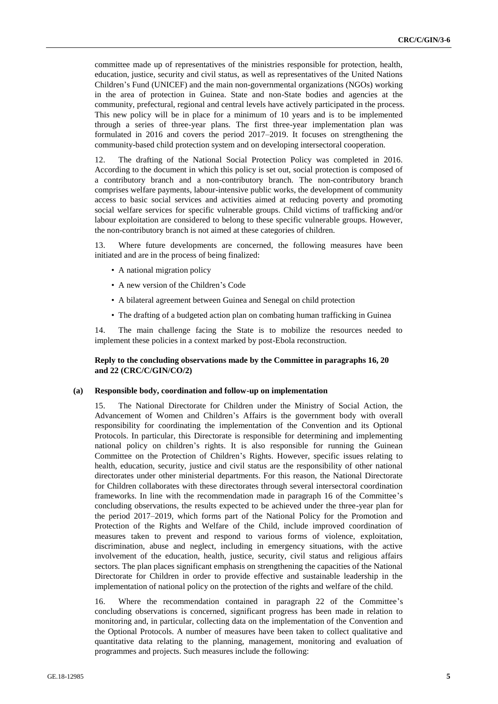committee made up of representatives of the ministries responsible for protection, health, education, justice, security and civil status, as well as representatives of the United Nations Children's Fund (UNICEF) and the main non-governmental organizations (NGOs) working in the area of protection in Guinea. State and non-State bodies and agencies at the community, prefectural, regional and central levels have actively participated in the process. This new policy will be in place for a minimum of 10 years and is to be implemented through a series of three-year plans. The first three-year implementation plan was formulated in 2016 and covers the period 2017–2019. It focuses on strengthening the community-based child protection system and on developing intersectoral cooperation.

12. The drafting of the National Social Protection Policy was completed in 2016. According to the document in which this policy is set out, social protection is composed of a contributory branch and a non-contributory branch. The non-contributory branch comprises welfare payments, labour-intensive public works, the development of community access to basic social services and activities aimed at reducing poverty and promoting social welfare services for specific vulnerable groups. Child victims of trafficking and/or labour exploitation are considered to belong to these specific vulnerable groups. However, the non-contributory branch is not aimed at these categories of children.

13. Where future developments are concerned, the following measures have been initiated and are in the process of being finalized:

- A national migration policy
- A new version of the Children's Code
- A bilateral agreement between Guinea and Senegal on child protection
- The drafting of a budgeted action plan on combating human trafficking in Guinea

14. The main challenge facing the State is to mobilize the resources needed to implement these policies in a context marked by post-Ebola reconstruction.

### **Reply to the concluding observations made by the Committee in paragraphs 16, 20 and 22 (CRC/C/GIN/CO/2)**

## **(a) Responsible body, coordination and follow-up on implementation**

15. The National Directorate for Children under the Ministry of Social Action, the Advancement of Women and Children's Affairs is the government body with overall responsibility for coordinating the implementation of the Convention and its Optional Protocols. In particular, this Directorate is responsible for determining and implementing national policy on children's rights. It is also responsible for running the Guinean Committee on the Protection of Children's Rights. However, specific issues relating to health, education, security, justice and civil status are the responsibility of other national directorates under other ministerial departments. For this reason, the National Directorate for Children collaborates with these directorates through several intersectoral coordination frameworks. In line with the recommendation made in paragraph 16 of the Committee's concluding observations, the results expected to be achieved under the three-year plan for the period 2017–2019, which forms part of the National Policy for the Promotion and Protection of the Rights and Welfare of the Child, include improved coordination of measures taken to prevent and respond to various forms of violence, exploitation, discrimination, abuse and neglect, including in emergency situations, with the active involvement of the education, health, justice, security, civil status and religious affairs sectors. The plan places significant emphasis on strengthening the capacities of the National Directorate for Children in order to provide effective and sustainable leadership in the implementation of national policy on the protection of the rights and welfare of the child.

16. Where the recommendation contained in paragraph 22 of the Committee's concluding observations is concerned, significant progress has been made in relation to monitoring and, in particular, collecting data on the implementation of the Convention and the Optional Protocols. A number of measures have been taken to collect qualitative and quantitative data relating to the planning, management, monitoring and evaluation of programmes and projects. Such measures include the following: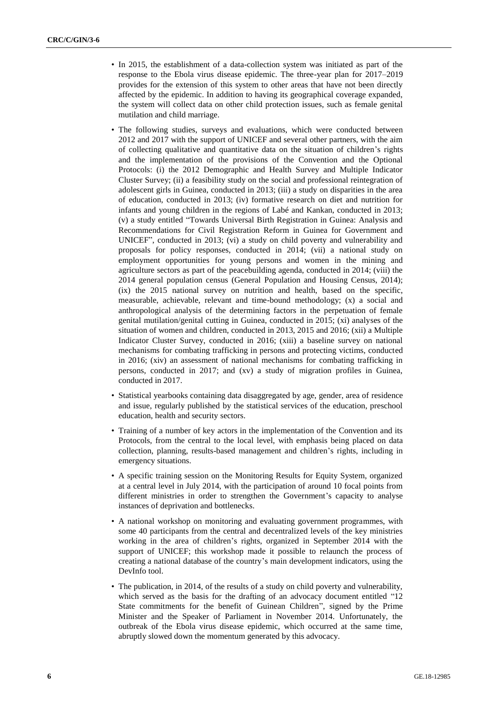- In 2015, the establishment of a data-collection system was initiated as part of the response to the Ebola virus disease epidemic. The three-year plan for 2017–2019 provides for the extension of this system to other areas that have not been directly affected by the epidemic. In addition to having its geographical coverage expanded, the system will collect data on other child protection issues, such as female genital mutilation and child marriage.
- The following studies, surveys and evaluations, which were conducted between 2012 and 2017 with the support of UNICEF and several other partners, with the aim of collecting qualitative and quantitative data on the situation of children's rights and the implementation of the provisions of the Convention and the Optional Protocols: (i) the 2012 Demographic and Health Survey and Multiple Indicator Cluster Survey; (ii) a feasibility study on the social and professional reintegration of adolescent girls in Guinea, conducted in 2013; (iii) a study on disparities in the area of education, conducted in 2013; (iv) formative research on diet and nutrition for infants and young children in the regions of Labé and Kankan, conducted in 2013; (v) a study entitled "Towards Universal Birth Registration in Guinea: Analysis and Recommendations for Civil Registration Reform in Guinea for Government and UNICEF", conducted in 2013; (vi) a study on child poverty and vulnerability and proposals for policy responses, conducted in 2014; (vii) a national study on employment opportunities for young persons and women in the mining and agriculture sectors as part of the peacebuilding agenda, conducted in 2014; (viii) the 2014 general population census (General Population and Housing Census, 2014); (ix) the 2015 national survey on nutrition and health, based on the specific, measurable, achievable, relevant and time-bound methodology; (x) a social and anthropological analysis of the determining factors in the perpetuation of female genital mutilation/genital cutting in Guinea, conducted in 2015; (xi) analyses of the situation of women and children, conducted in 2013, 2015 and 2016; (xii) a Multiple Indicator Cluster Survey, conducted in 2016; (xiii) a baseline survey on national mechanisms for combating trafficking in persons and protecting victims, conducted in 2016; (xiv) an assessment of national mechanisms for combating trafficking in persons, conducted in 2017; and (xv) a study of migration profiles in Guinea, conducted in 2017.
- Statistical yearbooks containing data disaggregated by age, gender, area of residence and issue, regularly published by the statistical services of the education, preschool education, health and security sectors.
- Training of a number of key actors in the implementation of the Convention and its Protocols, from the central to the local level, with emphasis being placed on data collection, planning, results-based management and children's rights, including in emergency situations.
- A specific training session on the Monitoring Results for Equity System, organized at a central level in July 2014, with the participation of around 10 focal points from different ministries in order to strengthen the Government's capacity to analyse instances of deprivation and bottlenecks.
- A national workshop on monitoring and evaluating government programmes, with some 40 participants from the central and decentralized levels of the key ministries working in the area of children's rights, organized in September 2014 with the support of UNICEF; this workshop made it possible to relaunch the process of creating a national database of the country's main development indicators, using the DevInfo tool.
- The publication, in 2014, of the results of a study on child poverty and vulnerability, which served as the basis for the drafting of an advocacy document entitled "12" State commitments for the benefit of Guinean Children", signed by the Prime Minister and the Speaker of Parliament in November 2014. Unfortunately, the outbreak of the Ebola virus disease epidemic, which occurred at the same time, abruptly slowed down the momentum generated by this advocacy.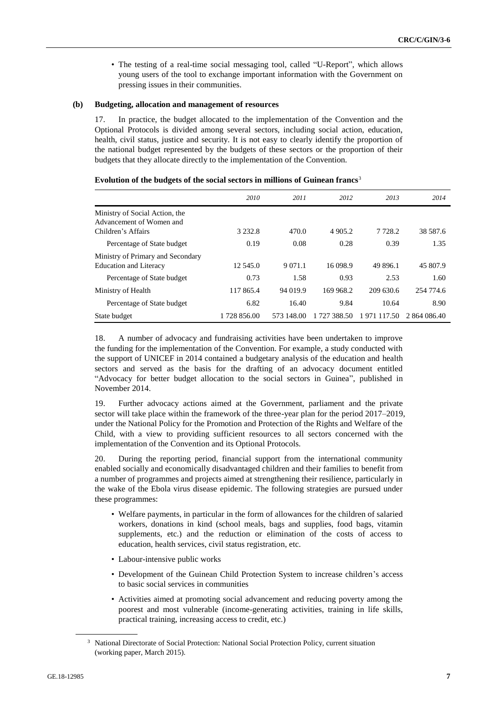• The testing of a real-time social messaging tool, called "U-Report", which allows young users of the tool to exchange important information with the Government on pressing issues in their communities.

#### **(b) Budgeting, allocation and management of resources**

17. In practice, the budget allocated to the implementation of the Convention and the Optional Protocols is divided among several sectors, including social action, education, health, civil status, justice and security. It is not easy to clearly identify the proportion of the national budget represented by the budgets of these sectors or the proportion of their budgets that they allocate directly to the implementation of the Convention.

|                                                                    | 2010         | 2011       | 2012         | 2013        | 2014         |
|--------------------------------------------------------------------|--------------|------------|--------------|-------------|--------------|
| Ministry of Social Action, the<br>Advancement of Women and         |              |            |              |             |              |
| Children's Affairs                                                 | 3 2 3 2 .8   | 470.0      | 4 905.2      | 7 7 2 8 . 2 | 38 587.6     |
| Percentage of State budget                                         | 0.19         | 0.08       | 0.28         | 0.39        | 1.35         |
| Ministry of Primary and Secondary<br><b>Education and Literacy</b> | 12.545.0     | 9 0 7 1 .1 | 16 098.9     | 49 896.1    | 45 807.9     |
| Percentage of State budget                                         | 0.73         | 1.58       | 0.93         | 2.53        | 1.60         |
| Ministry of Health                                                 | 117 865.4    | 94 019.9   | 169 968.2    | 209 630.6   | 254 774.6    |
| Percentage of State budget                                         | 6.82         | 16.40      | 9.84         | 10.64       | 8.90         |
| State budget                                                       | 1 728 856.00 | 573 148.00 | 1 727 388.50 | 1971117.50  | 2 864 086.40 |

#### **Evolution of the budgets of the social sectors in millions of Guinean francs**<sup>3</sup>

18. A number of advocacy and fundraising activities have been undertaken to improve the funding for the implementation of the Convention. For example, a study conducted with the support of UNICEF in 2014 contained a budgetary analysis of the education and health sectors and served as the basis for the drafting of an advocacy document entitled "Advocacy for better budget allocation to the social sectors in Guinea", published in November 2014.

19. Further advocacy actions aimed at the Government, parliament and the private sector will take place within the framework of the three-year plan for the period 2017–2019, under the National Policy for the Promotion and Protection of the Rights and Welfare of the Child, with a view to providing sufficient resources to all sectors concerned with the implementation of the Convention and its Optional Protocols.

20. During the reporting period, financial support from the international community enabled socially and economically disadvantaged children and their families to benefit from a number of programmes and projects aimed at strengthening their resilience, particularly in the wake of the Ebola virus disease epidemic. The following strategies are pursued under these programmes:

- Welfare payments, in particular in the form of allowances for the children of salaried workers, donations in kind (school meals, bags and supplies, food bags, vitamin supplements, etc.) and the reduction or elimination of the costs of access to education, health services, civil status registration, etc.
- Labour-intensive public works
- Development of the Guinean Child Protection System to increase children's access to basic social services in communities
- Activities aimed at promoting social advancement and reducing poverty among the poorest and most vulnerable (income-generating activities, training in life skills, practical training, increasing access to credit, etc.)

<sup>&</sup>lt;sup>3</sup> National Directorate of Social Protection: National Social Protection Policy, current situation (working paper, March 2015).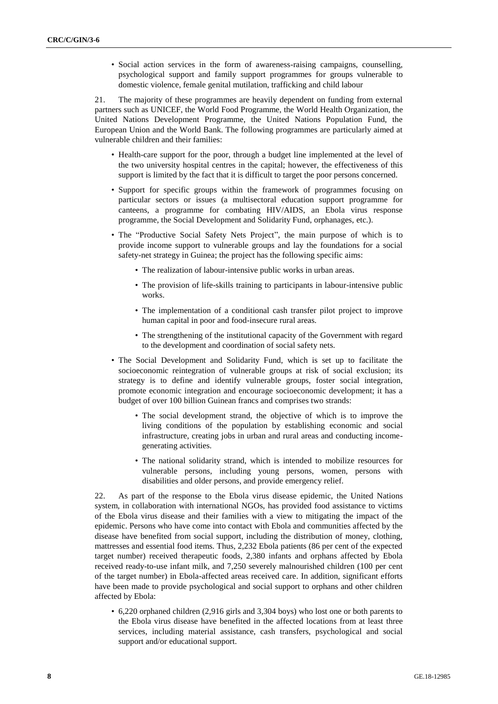• Social action services in the form of awareness-raising campaigns, counselling, psychological support and family support programmes for groups vulnerable to domestic violence, female genital mutilation, trafficking and child labour

21. The majority of these programmes are heavily dependent on funding from external partners such as UNICEF, the World Food Programme, the World Health Organization, the United Nations Development Programme, the United Nations Population Fund, the European Union and the World Bank. The following programmes are particularly aimed at vulnerable children and their families:

- Health-care support for the poor, through a budget line implemented at the level of the two university hospital centres in the capital; however, the effectiveness of this support is limited by the fact that it is difficult to target the poor persons concerned.
- Support for specific groups within the framework of programmes focusing on particular sectors or issues (a multisectoral education support programme for canteens, a programme for combating HIV/AIDS, an Ebola virus response programme, the Social Development and Solidarity Fund, orphanages, etc.).
- The "Productive Social Safety Nets Project", the main purpose of which is to provide income support to vulnerable groups and lay the foundations for a social safety-net strategy in Guinea; the project has the following specific aims:
	- The realization of labour-intensive public works in urban areas.
	- The provision of life-skills training to participants in labour-intensive public works.
	- The implementation of a conditional cash transfer pilot project to improve human capital in poor and food-insecure rural areas.
	- The strengthening of the institutional capacity of the Government with regard to the development and coordination of social safety nets.
- The Social Development and Solidarity Fund, which is set up to facilitate the socioeconomic reintegration of vulnerable groups at risk of social exclusion; its strategy is to define and identify vulnerable groups, foster social integration, promote economic integration and encourage socioeconomic development; it has a budget of over 100 billion Guinean francs and comprises two strands:
	- The social development strand, the objective of which is to improve the living conditions of the population by establishing economic and social infrastructure, creating jobs in urban and rural areas and conducting incomegenerating activities.
	- The national solidarity strand, which is intended to mobilize resources for vulnerable persons, including young persons, women, persons with disabilities and older persons, and provide emergency relief.

22. As part of the response to the Ebola virus disease epidemic, the United Nations system, in collaboration with international NGOs, has provided food assistance to victims of the Ebola virus disease and their families with a view to mitigating the impact of the epidemic. Persons who have come into contact with Ebola and communities affected by the disease have benefited from social support, including the distribution of money, clothing, mattresses and essential food items. Thus, 2,232 Ebola patients (86 per cent of the expected target number) received therapeutic foods, 2,380 infants and orphans affected by Ebola received ready-to-use infant milk, and 7,250 severely malnourished children (100 per cent of the target number) in Ebola-affected areas received care. In addition, significant efforts have been made to provide psychological and social support to orphans and other children affected by Ebola:

• 6,220 orphaned children (2,916 girls and 3,304 boys) who lost one or both parents to the Ebola virus disease have benefited in the affected locations from at least three services, including material assistance, cash transfers, psychological and social support and/or educational support.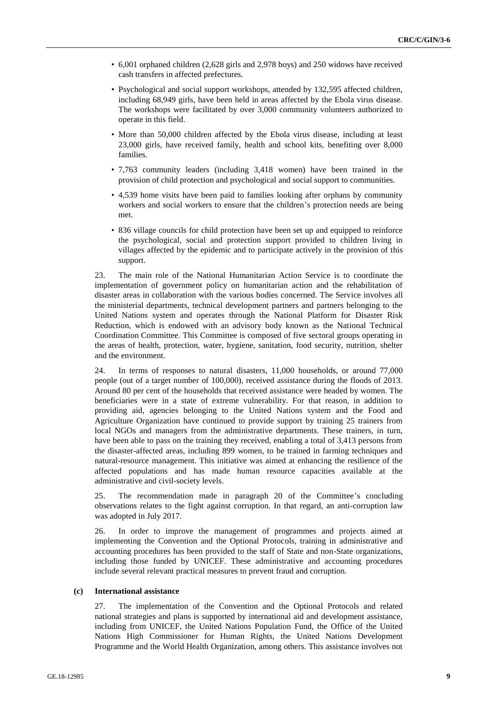- 6,001 orphaned children (2,628 girls and 2,978 boys) and 250 widows have received cash transfers in affected prefectures.
- Psychological and social support workshops, attended by 132,595 affected children, including 68,949 girls, have been held in areas affected by the Ebola virus disease. The workshops were facilitated by over 3,000 community volunteers authorized to operate in this field.
- More than 50,000 children affected by the Ebola virus disease, including at least 23,000 girls, have received family, health and school kits, benefiting over 8,000 families.
- 7,763 community leaders (including 3,418 women) have been trained in the provision of child protection and psychological and social support to communities.
- 4,539 home visits have been paid to families looking after orphans by community workers and social workers to ensure that the children's protection needs are being met.
- 836 village councils for child protection have been set up and equipped to reinforce the psychological, social and protection support provided to children living in villages affected by the epidemic and to participate actively in the provision of this support.

23. The main role of the National Humanitarian Action Service is to coordinate the implementation of government policy on humanitarian action and the rehabilitation of disaster areas in collaboration with the various bodies concerned. The Service involves all the ministerial departments, technical development partners and partners belonging to the United Nations system and operates through the National Platform for Disaster Risk Reduction, which is endowed with an advisory body known as the National Technical Coordination Committee. This Committee is composed of five sectoral groups operating in the areas of health, protection, water, hygiene, sanitation, food security, nutrition, shelter and the environment.

24. In terms of responses to natural disasters, 11,000 households, or around 77,000 people (out of a target number of 100,000), received assistance during the floods of 2013. Around 80 per cent of the households that received assistance were headed by women. The beneficiaries were in a state of extreme vulnerability. For that reason, in addition to providing aid, agencies belonging to the United Nations system and the Food and Agriculture Organization have continued to provide support by training 25 trainers from local NGOs and managers from the administrative departments. These trainers, in turn, have been able to pass on the training they received, enabling a total of 3,413 persons from the disaster-affected areas, including 899 women, to be trained in farming techniques and natural-resource management. This initiative was aimed at enhancing the resilience of the affected populations and has made human resource capacities available at the administrative and civil-society levels.

25. The recommendation made in paragraph 20 of the Committee's concluding observations relates to the fight against corruption. In that regard, an anti-corruption law was adopted in July 2017.

26. In order to improve the management of programmes and projects aimed at implementing the Convention and the Optional Protocols, training in administrative and accounting procedures has been provided to the staff of State and non-State organizations, including those funded by UNICEF. These administrative and accounting procedures include several relevant practical measures to prevent fraud and corruption.

## **(c) International assistance**

27. The implementation of the Convention and the Optional Protocols and related national strategies and plans is supported by international aid and development assistance, including from UNICEF, the United Nations Population Fund, the Office of the United Nations High Commissioner for Human Rights, the United Nations Development Programme and the World Health Organization, among others. This assistance involves not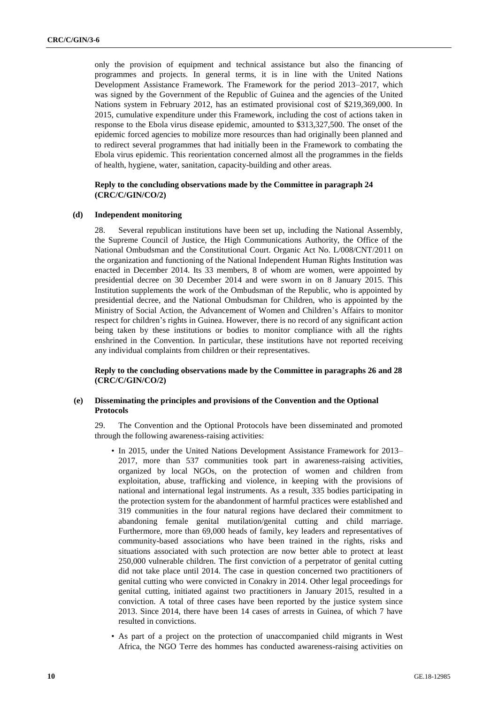only the provision of equipment and technical assistance but also the financing of programmes and projects. In general terms, it is in line with the United Nations Development Assistance Framework. The Framework for the period 2013–2017, which was signed by the Government of the Republic of Guinea and the agencies of the United Nations system in February 2012, has an estimated provisional cost of \$219,369,000. In 2015, cumulative expenditure under this Framework, including the cost of actions taken in response to the Ebola virus disease epidemic, amounted to \$313,327,500. The onset of the epidemic forced agencies to mobilize more resources than had originally been planned and to redirect several programmes that had initially been in the Framework to combating the Ebola virus epidemic. This reorientation concerned almost all the programmes in the fields of health, hygiene, water, sanitation, capacity-building and other areas.

## **Reply to the concluding observations made by the Committee in paragraph 24 (CRC/C/GIN/CO/2)**

## **(d) Independent monitoring**

28. Several republican institutions have been set up, including the National Assembly, the Supreme Council of Justice, the High Communications Authority, the Office of the National Ombudsman and the Constitutional Court. Organic Act No. L/008/CNT/2011 on the organization and functioning of the National Independent Human Rights Institution was enacted in December 2014. Its 33 members, 8 of whom are women, were appointed by presidential decree on 30 December 2014 and were sworn in on 8 January 2015. This Institution supplements the work of the Ombudsman of the Republic, who is appointed by presidential decree, and the National Ombudsman for Children, who is appointed by the Ministry of Social Action, the Advancement of Women and Children's Affairs to monitor respect for children's rights in Guinea. However, there is no record of any significant action being taken by these institutions or bodies to monitor compliance with all the rights enshrined in the Convention. In particular, these institutions have not reported receiving any individual complaints from children or their representatives.

**Reply to the concluding observations made by the Committee in paragraphs 26 and 28 (CRC/C/GIN/CO/2)**

### **(e) Disseminating the principles and provisions of the Convention and the Optional Protocols**

29. The Convention and the Optional Protocols have been disseminated and promoted through the following awareness-raising activities:

- In 2015, under the United Nations Development Assistance Framework for 2013– 2017, more than 537 communities took part in awareness-raising activities, organized by local NGOs, on the protection of women and children from exploitation, abuse, trafficking and violence, in keeping with the provisions of national and international legal instruments. As a result, 335 bodies participating in the protection system for the abandonment of harmful practices were established and 319 communities in the four natural regions have declared their commitment to abandoning female genital mutilation/genital cutting and child marriage. Furthermore, more than 69,000 heads of family, key leaders and representatives of community-based associations who have been trained in the rights, risks and situations associated with such protection are now better able to protect at least 250,000 vulnerable children. The first conviction of a perpetrator of genital cutting did not take place until 2014. The case in question concerned two practitioners of genital cutting who were convicted in Conakry in 2014. Other legal proceedings for genital cutting, initiated against two practitioners in January 2015, resulted in a conviction. A total of three cases have been reported by the justice system since 2013. Since 2014, there have been 14 cases of arrests in Guinea, of which 7 have resulted in convictions.
- As part of a project on the protection of unaccompanied child migrants in West Africa, the NGO Terre des hommes has conducted awareness-raising activities on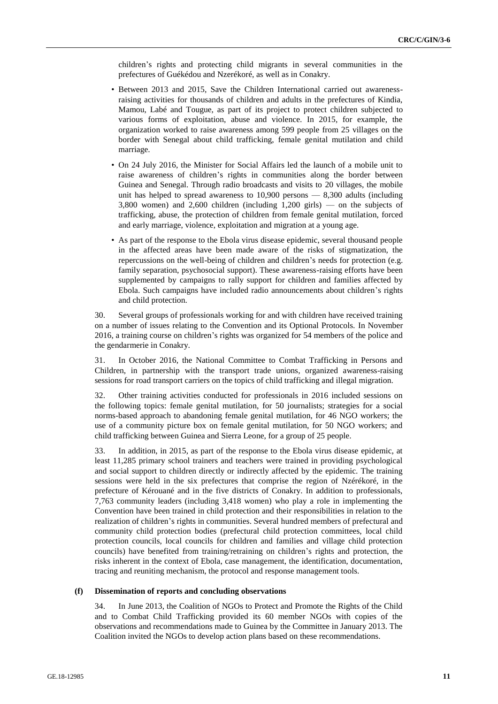children's rights and protecting child migrants in several communities in the prefectures of Guékédou and Nzerékoré, as well as in Conakry.

- Between 2013 and 2015, Save the Children International carried out awarenessraising activities for thousands of children and adults in the prefectures of Kindia, Mamou, Labé and Tougue, as part of its project to protect children subjected to various forms of exploitation, abuse and violence. In 2015, for example, the organization worked to raise awareness among 599 people from 25 villages on the border with Senegal about child trafficking, female genital mutilation and child marriage.
- On 24 July 2016, the Minister for Social Affairs led the launch of a mobile unit to raise awareness of children's rights in communities along the border between Guinea and Senegal. Through radio broadcasts and visits to 20 villages, the mobile unit has helped to spread awareness to  $10,900$  persons  $-8,300$  adults (including 3,800 women) and 2,600 children (including 1,200 girls) — on the subjects of trafficking, abuse, the protection of children from female genital mutilation, forced and early marriage, violence, exploitation and migration at a young age.
- As part of the response to the Ebola virus disease epidemic, several thousand people in the affected areas have been made aware of the risks of stigmatization, the repercussions on the well-being of children and children's needs for protection (e.g. family separation, psychosocial support). These awareness-raising efforts have been supplemented by campaigns to rally support for children and families affected by Ebola. Such campaigns have included radio announcements about children's rights and child protection.

30. Several groups of professionals working for and with children have received training on a number of issues relating to the Convention and its Optional Protocols. In November 2016, a training course on children's rights was organized for 54 members of the police and the gendarmerie in Conakry.

31. In October 2016, the National Committee to Combat Trafficking in Persons and Children, in partnership with the transport trade unions, organized awareness-raising sessions for road transport carriers on the topics of child trafficking and illegal migration.

32. Other training activities conducted for professionals in 2016 included sessions on the following topics: female genital mutilation, for 50 journalists; strategies for a social norms-based approach to abandoning female genital mutilation, for 46 NGO workers; the use of a community picture box on female genital mutilation, for 50 NGO workers; and child trafficking between Guinea and Sierra Leone, for a group of 25 people.

33. In addition, in 2015, as part of the response to the Ebola virus disease epidemic, at least 11,285 primary school trainers and teachers were trained in providing psychological and social support to children directly or indirectly affected by the epidemic. The training sessions were held in the six prefectures that comprise the region of Nzérékoré, in the prefecture of Kérouané and in the five districts of Conakry. In addition to professionals, 7,763 community leaders (including 3,418 women) who play a role in implementing the Convention have been trained in child protection and their responsibilities in relation to the realization of children's rights in communities. Several hundred members of prefectural and community child protection bodies (prefectural child protection committees, local child protection councils, local councils for children and families and village child protection councils) have benefited from training/retraining on children's rights and protection, the risks inherent in the context of Ebola, case management, the identification, documentation, tracing and reuniting mechanism, the protocol and response management tools.

### **(f) Dissemination of reports and concluding observations**

34. In June 2013, the Coalition of NGOs to Protect and Promote the Rights of the Child and to Combat Child Trafficking provided its 60 member NGOs with copies of the observations and recommendations made to Guinea by the Committee in January 2013. The Coalition invited the NGOs to develop action plans based on these recommendations.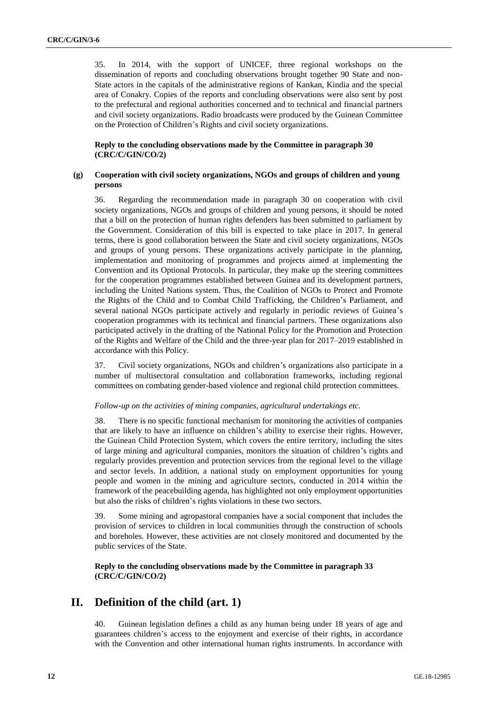35. In 2014, with the support of UNICEF, three regional workshops on the dissemination of reports and concluding observations brought together 90 State and non-State actors in the capitals of the administrative regions of Kankan, Kindia and the special area of Conakry. Copies of the reports and concluding observations were also sent by post to the prefectural and regional authorities concerned and to technical and financial partners and civil society organizations. Radio broadcasts were produced by the Guinean Committee on the Protection of Children's Rights and civil society organizations.

## **Reply to the concluding observations made by the Committee in paragraph 30 (CRC/C/GIN/CO/2)**

## **(g) Cooperation with civil society organizations, NGOs and groups of children and young persons**

36. Regarding the recommendation made in paragraph 30 on cooperation with civil society organizations, NGOs and groups of children and young persons, it should be noted that a bill on the protection of human rights defenders has been submitted to parliament by the Government. Consideration of this bill is expected to take place in 2017. In general terms, there is good collaboration between the State and civil society organizations, NGOs and groups of young persons. These organizations actively participate in the planning, implementation and monitoring of programmes and projects aimed at implementing the Convention and its Optional Protocols. In particular, they make up the steering committees for the cooperation programmes established between Guinea and its development partners, including the United Nations system. Thus, the Coalition of NGOs to Protect and Promote the Rights of the Child and to Combat Child Trafficking, the Children's Parliament, and several national NGOs participate actively and regularly in periodic reviews of Guinea's cooperation programmes with its technical and financial partners. These organizations also participated actively in the drafting of the National Policy for the Promotion and Protection of the Rights and Welfare of the Child and the three-year plan for 2017–2019 established in accordance with this Policy.

37. Civil society organizations, NGOs and children's organizations also participate in a number of multisectoral consultation and collaboration frameworks, including regional committees on combating gender-based violence and regional child protection committees.

#### *Follow-up on the activities of mining companies, agricultural undertakings etc.*

38. There is no specific functional mechanism for monitoring the activities of companies that are likely to have an influence on children's ability to exercise their rights. However, the Guinean Child Protection System, which covers the entire territory, including the sites of large mining and agricultural companies, monitors the situation of children's rights and regularly provides prevention and protection services from the regional level to the village and sector levels. In addition, a national study on employment opportunities for young people and women in the mining and agriculture sectors, conducted in 2014 within the framework of the peacebuilding agenda, has highlighted not only employment opportunities but also the risks of children's rights violations in these two sectors.

39. Some mining and agropastoral companies have a social component that includes the provision of services to children in local communities through the construction of schools and boreholes. However, these activities are not closely monitored and documented by the public services of the State.

## **Reply to the concluding observations made by the Committee in paragraph 33 (CRC/C/GIN/CO/2)**

## **II. Definition of the child (art. 1)**

40. Guinean legislation defines a child as any human being under 18 years of age and guarantees children's access to the enjoyment and exercise of their rights, in accordance with the Convention and other international human rights instruments. In accordance with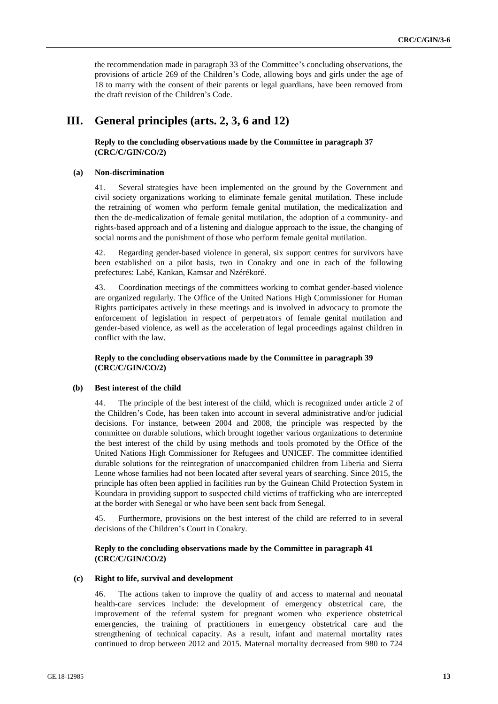the recommendation made in paragraph 33 of the Committee's concluding observations, the provisions of article 269 of the Children's Code, allowing boys and girls under the age of 18 to marry with the consent of their parents or legal guardians, have been removed from the draft revision of the Children's Code.

## **III. General principles (arts. 2, 3, 6 and 12)**

**Reply to the concluding observations made by the Committee in paragraph 37 (CRC/C/GIN/CO/2)**

#### **(a) Non-discrimination**

41. Several strategies have been implemented on the ground by the Government and civil society organizations working to eliminate female genital mutilation. These include the retraining of women who perform female genital mutilation, the medicalization and then the de-medicalization of female genital mutilation, the adoption of a community- and rights-based approach and of a listening and dialogue approach to the issue, the changing of social norms and the punishment of those who perform female genital mutilation.

42. Regarding gender-based violence in general, six support centres for survivors have been established on a pilot basis, two in Conakry and one in each of the following prefectures: Labé, Kankan, Kamsar and Nzérékoré.

43. Coordination meetings of the committees working to combat gender-based violence are organized regularly. The Office of the United Nations High Commissioner for Human Rights participates actively in these meetings and is involved in advocacy to promote the enforcement of legislation in respect of perpetrators of female genital mutilation and gender-based violence, as well as the acceleration of legal proceedings against children in conflict with the law.

## **Reply to the concluding observations made by the Committee in paragraph 39 (CRC/C/GIN/CO/2)**

### **(b) Best interest of the child**

44. The principle of the best interest of the child, which is recognized under article 2 of the Children's Code, has been taken into account in several administrative and/or judicial decisions. For instance, between 2004 and 2008, the principle was respected by the committee on durable solutions, which brought together various organizations to determine the best interest of the child by using methods and tools promoted by the Office of the United Nations High Commissioner for Refugees and UNICEF. The committee identified durable solutions for the reintegration of unaccompanied children from Liberia and Sierra Leone whose families had not been located after several years of searching. Since 2015, the principle has often been applied in facilities run by the Guinean Child Protection System in Koundara in providing support to suspected child victims of trafficking who are intercepted at the border with Senegal or who have been sent back from Senegal.

45. Furthermore, provisions on the best interest of the child are referred to in several decisions of the Children's Court in Conakry.

#### **Reply to the concluding observations made by the Committee in paragraph 41 (CRC/C/GIN/CO/2)**

#### **(c) Right to life, survival and development**

46. The actions taken to improve the quality of and access to maternal and neonatal health-care services include: the development of emergency obstetrical care, the improvement of the referral system for pregnant women who experience obstetrical emergencies, the training of practitioners in emergency obstetrical care and the strengthening of technical capacity. As a result, infant and maternal mortality rates continued to drop between 2012 and 2015. Maternal mortality decreased from 980 to 724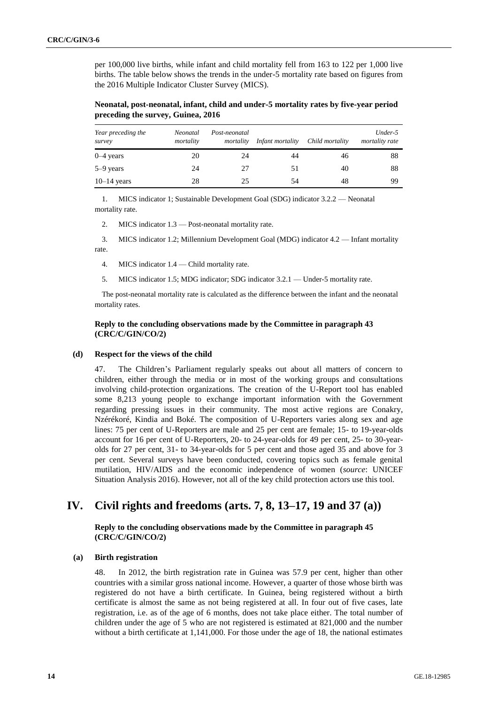per 100,000 live births, while infant and child mortality fell from 163 to 122 per 1,000 live births. The table below shows the trends in the under-5 mortality rate based on figures from the 2016 Multiple Indicator Cluster Survey (MICS).

**Neonatal, post-neonatal, infant, child and under-5 mortality rates by five-year period preceding the survey, Guinea, 2016**

| Year preceding the<br>survey | Neonatal<br>mortality | Post-neonatal<br>mortality | Infant mortality | Child mortality | Under-5<br>mortality rate |
|------------------------------|-----------------------|----------------------------|------------------|-----------------|---------------------------|
| $0-4$ years                  | 20                    | 24                         | 44               | 46              | 88                        |
| $5-9$ years                  | 24                    | 27                         | 51               | 40              | 88                        |
| $10-14$ years                | 28                    | 25                         | 54               | 48              | 99                        |

1. MICS indicator 1; Sustainable Development Goal (SDG) indicator 3.2.2 — Neonatal mortality rate.

2. MICS indicator 1.3 — Post-neonatal mortality rate.

3. MICS indicator 1.2; Millennium Development Goal (MDG) indicator 4.2 — Infant mortality rate.

4. MICS indicator 1.4 — Child mortality rate.

5. MICS indicator 1.5; MDG indicator; SDG indicator 3.2.1 — Under-5 mortality rate.

The post-neonatal mortality rate is calculated as the difference between the infant and the neonatal mortality rates.

## **Reply to the concluding observations made by the Committee in paragraph 43 (CRC/C/GIN/CO/2)**

#### **(d) Respect for the views of the child**

47. The Children's Parliament regularly speaks out about all matters of concern to children, either through the media or in most of the working groups and consultations involving child-protection organizations. The creation of the U-Report tool has enabled some 8,213 young people to exchange important information with the Government regarding pressing issues in their community. The most active regions are Conakry, Nzérékoré, Kindia and Boké. The composition of U-Reporters varies along sex and age lines: 75 per cent of U-Reporters are male and 25 per cent are female; 15- to 19-year-olds account for 16 per cent of U-Reporters, 20- to 24-year-olds for 49 per cent, 25- to 30-yearolds for 27 per cent, 31- to 34-year-olds for 5 per cent and those aged 35 and above for 3 per cent. Several surveys have been conducted, covering topics such as female genital mutilation, HIV/AIDS and the economic independence of women (*source*: UNICEF Situation Analysis 2016). However, not all of the key child protection actors use this tool.

## **IV. Civil rights and freedoms (arts. 7, 8, 13–17, 19 and 37 (a))**

**Reply to the concluding observations made by the Committee in paragraph 45 (CRC/C/GIN/CO/2)**

#### **(a) Birth registration**

48. In 2012, the birth registration rate in Guinea was 57.9 per cent, higher than other countries with a similar gross national income. However, a quarter of those whose birth was registered do not have a birth certificate. In Guinea, being registered without a birth certificate is almost the same as not being registered at all. In four out of five cases, late registration, i.e. as of the age of 6 months, does not take place either. The total number of children under the age of 5 who are not registered is estimated at 821,000 and the number without a birth certificate at 1,141,000. For those under the age of 18, the national estimates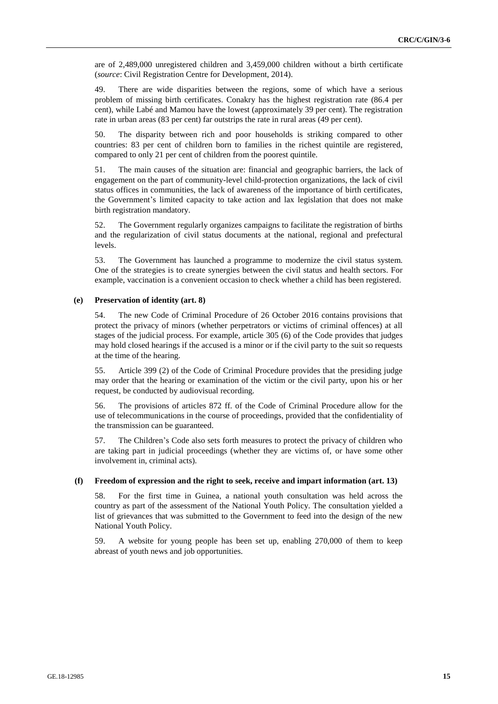are of 2,489,000 unregistered children and 3,459,000 children without a birth certificate (*source*: Civil Registration Centre for Development, 2014).

49. There are wide disparities between the regions, some of which have a serious problem of missing birth certificates. Conakry has the highest registration rate (86.4 per cent), while Labé and Mamou have the lowest (approximately 39 per cent). The registration rate in urban areas (83 per cent) far outstrips the rate in rural areas (49 per cent).

50. The disparity between rich and poor households is striking compared to other countries: 83 per cent of children born to families in the richest quintile are registered, compared to only 21 per cent of children from the poorest quintile.

51. The main causes of the situation are: financial and geographic barriers, the lack of engagement on the part of community-level child-protection organizations, the lack of civil status offices in communities, the lack of awareness of the importance of birth certificates, the Government's limited capacity to take action and lax legislation that does not make birth registration mandatory.

52. The Government regularly organizes campaigns to facilitate the registration of births and the regularization of civil status documents at the national, regional and prefectural levels.

53. The Government has launched a programme to modernize the civil status system. One of the strategies is to create synergies between the civil status and health sectors. For example, vaccination is a convenient occasion to check whether a child has been registered.

#### **(e) Preservation of identity (art. 8)**

54. The new Code of Criminal Procedure of 26 October 2016 contains provisions that protect the privacy of minors (whether perpetrators or victims of criminal offences) at all stages of the judicial process. For example, article 305 (6) of the Code provides that judges may hold closed hearings if the accused is a minor or if the civil party to the suit so requests at the time of the hearing.

55. Article 399 (2) of the Code of Criminal Procedure provides that the presiding judge may order that the hearing or examination of the victim or the civil party, upon his or her request, be conducted by audiovisual recording.

56. The provisions of articles 872 ff. of the Code of Criminal Procedure allow for the use of telecommunications in the course of proceedings, provided that the confidentiality of the transmission can be guaranteed.

57. The Children's Code also sets forth measures to protect the privacy of children who are taking part in judicial proceedings (whether they are victims of, or have some other involvement in, criminal acts).

### **(f) Freedom of expression and the right to seek, receive and impart information (art. 13)**

58. For the first time in Guinea, a national youth consultation was held across the country as part of the assessment of the National Youth Policy. The consultation yielded a list of grievances that was submitted to the Government to feed into the design of the new National Youth Policy.

59. A website for young people has been set up, enabling 270,000 of them to keep abreast of youth news and job opportunities.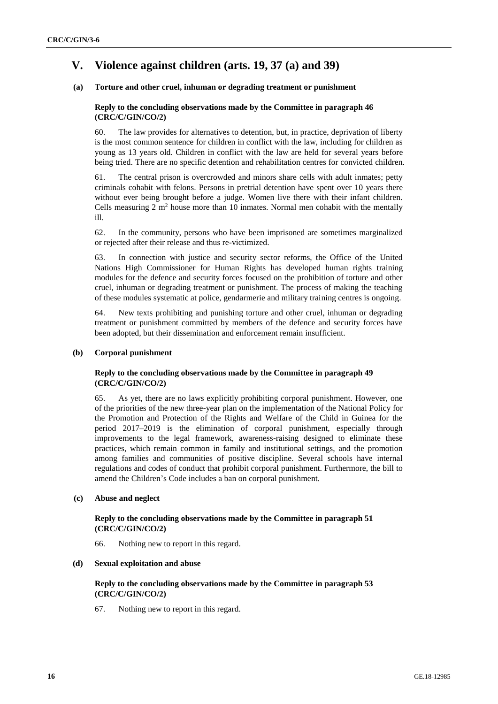## **V. Violence against children (arts. 19, 37 (a) and 39)**

## **(a) Torture and other cruel, inhuman or degrading treatment or punishment**

## **Reply to the concluding observations made by the Committee in paragraph 46 (CRC/C/GIN/CO/2)**

60. The law provides for alternatives to detention, but, in practice, deprivation of liberty is the most common sentence for children in conflict with the law, including for children as young as 13 years old. Children in conflict with the law are held for several years before being tried. There are no specific detention and rehabilitation centres for convicted children.

61. The central prison is overcrowded and minors share cells with adult inmates; petty criminals cohabit with felons. Persons in pretrial detention have spent over 10 years there without ever being brought before a judge. Women live there with their infant children. Cells measuring 2 m<sup>2</sup> house more than 10 inmates. Normal men cohabit with the mentally ill.

62. In the community, persons who have been imprisoned are sometimes marginalized or rejected after their release and thus re-victimized.

63. In connection with justice and security sector reforms, the Office of the United Nations High Commissioner for Human Rights has developed human rights training modules for the defence and security forces focused on the prohibition of torture and other cruel, inhuman or degrading treatment or punishment. The process of making the teaching of these modules systematic at police, gendarmerie and military training centres is ongoing.

64. New texts prohibiting and punishing torture and other cruel, inhuman or degrading treatment or punishment committed by members of the defence and security forces have been adopted, but their dissemination and enforcement remain insufficient.

## **(b) Corporal punishment**

## **Reply to the concluding observations made by the Committee in paragraph 49 (CRC/C/GIN/CO/2)**

65. As yet, there are no laws explicitly prohibiting corporal punishment. However, one of the priorities of the new three-year plan on the implementation of the National Policy for the Promotion and Protection of the Rights and Welfare of the Child in Guinea for the period 2017–2019 is the elimination of corporal punishment, especially through improvements to the legal framework, awareness-raising designed to eliminate these practices, which remain common in family and institutional settings, and the promotion among families and communities of positive discipline. Several schools have internal regulations and codes of conduct that prohibit corporal punishment. Furthermore, the bill to amend the Children's Code includes a ban on corporal punishment.

#### **(c) Abuse and neglect**

## **Reply to the concluding observations made by the Committee in paragraph 51 (CRC/C/GIN/CO/2)**

66. Nothing new to report in this regard.

## **(d) Sexual exploitation and abuse**

## **Reply to the concluding observations made by the Committee in paragraph 53 (CRC/C/GIN/CO/2)**

67. Nothing new to report in this regard.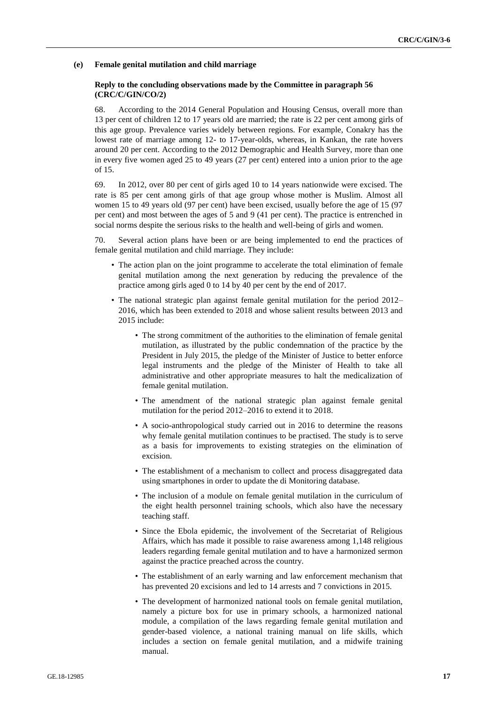#### **(e) Female genital mutilation and child marriage**

## **Reply to the concluding observations made by the Committee in paragraph 56 (CRC/C/GIN/CO/2)**

68. According to the 2014 General Population and Housing Census, overall more than 13 per cent of children 12 to 17 years old are married; the rate is 22 per cent among girls of this age group. Prevalence varies widely between regions. For example, Conakry has the lowest rate of marriage among 12- to 17-year-olds, whereas, in Kankan, the rate hovers around 20 per cent. According to the 2012 Demographic and Health Survey, more than one in every five women aged 25 to 49 years (27 per cent) entered into a union prior to the age of 15.

69. In 2012, over 80 per cent of girls aged 10 to 14 years nationwide were excised. The rate is 85 per cent among girls of that age group whose mother is Muslim. Almost all women 15 to 49 years old (97 per cent) have been excised, usually before the age of 15 (97 per cent) and most between the ages of 5 and 9 (41 per cent). The practice is entrenched in social norms despite the serious risks to the health and well-being of girls and women.

70. Several action plans have been or are being implemented to end the practices of female genital mutilation and child marriage. They include:

- The action plan on the joint programme to accelerate the total elimination of female genital mutilation among the next generation by reducing the prevalence of the practice among girls aged 0 to 14 by 40 per cent by the end of 2017.
- The national strategic plan against female genital mutilation for the period 2012– 2016, which has been extended to 2018 and whose salient results between 2013 and 2015 include:
	- The strong commitment of the authorities to the elimination of female genital mutilation, as illustrated by the public condemnation of the practice by the President in July 2015, the pledge of the Minister of Justice to better enforce legal instruments and the pledge of the Minister of Health to take all administrative and other appropriate measures to halt the medicalization of female genital mutilation.
	- The amendment of the national strategic plan against female genital mutilation for the period 2012–2016 to extend it to 2018.
	- A socio-anthropological study carried out in 2016 to determine the reasons why female genital mutilation continues to be practised. The study is to serve as a basis for improvements to existing strategies on the elimination of excision.
	- The establishment of a mechanism to collect and process disaggregated data using smartphones in order to update the di Monitoring database.
	- The inclusion of a module on female genital mutilation in the curriculum of the eight health personnel training schools, which also have the necessary teaching staff.
	- Since the Ebola epidemic, the involvement of the Secretariat of Religious Affairs, which has made it possible to raise awareness among 1,148 religious leaders regarding female genital mutilation and to have a harmonized sermon against the practice preached across the country.
	- The establishment of an early warning and law enforcement mechanism that has prevented 20 excisions and led to 14 arrests and 7 convictions in 2015.
	- The development of harmonized national tools on female genital mutilation, namely a picture box for use in primary schools, a harmonized national module, a compilation of the laws regarding female genital mutilation and gender-based violence, a national training manual on life skills, which includes a section on female genital mutilation, and a midwife training manual.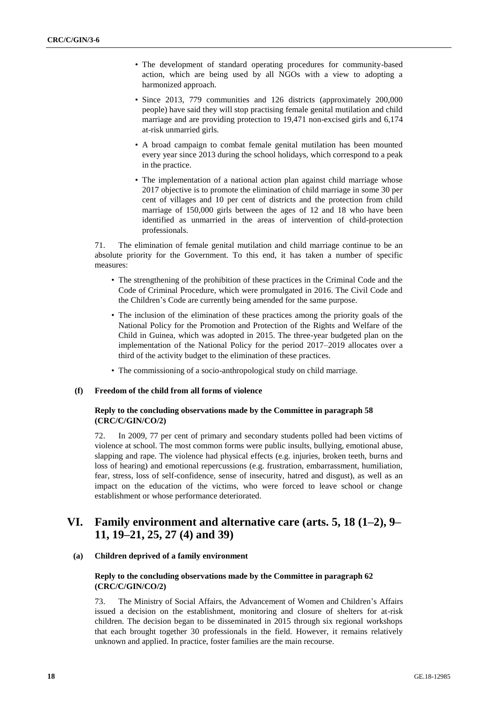- The development of standard operating procedures for community-based action, which are being used by all NGOs with a view to adopting a harmonized approach.
- Since 2013, 779 communities and 126 districts (approximately 200,000 people) have said they will stop practising female genital mutilation and child marriage and are providing protection to 19,471 non-excised girls and 6,174 at-risk unmarried girls.
- A broad campaign to combat female genital mutilation has been mounted every year since 2013 during the school holidays, which correspond to a peak in the practice.
- The implementation of a national action plan against child marriage whose 2017 objective is to promote the elimination of child marriage in some 30 per cent of villages and 10 per cent of districts and the protection from child marriage of 150,000 girls between the ages of 12 and 18 who have been identified as unmarried in the areas of intervention of child-protection professionals.

71. The elimination of female genital mutilation and child marriage continue to be an absolute priority for the Government. To this end, it has taken a number of specific measures:

- The strengthening of the prohibition of these practices in the Criminal Code and the Code of Criminal Procedure, which were promulgated in 2016. The Civil Code and the Children's Code are currently being amended for the same purpose.
- The inclusion of the elimination of these practices among the priority goals of the National Policy for the Promotion and Protection of the Rights and Welfare of the Child in Guinea, which was adopted in 2015. The three-year budgeted plan on the implementation of the National Policy for the period 2017–2019 allocates over a third of the activity budget to the elimination of these practices.
- The commissioning of a socio-anthropological study on child marriage.

## **(f) Freedom of the child from all forms of violence**

## **Reply to the concluding observations made by the Committee in paragraph 58 (CRC/C/GIN/CO/2)**

72. In 2009, 77 per cent of primary and secondary students polled had been victims of violence at school. The most common forms were public insults, bullying, emotional abuse, slapping and rape. The violence had physical effects (e.g. injuries, broken teeth, burns and loss of hearing) and emotional repercussions (e.g. frustration, embarrassment, humiliation, fear, stress, loss of self-confidence, sense of insecurity, hatred and disgust), as well as an impact on the education of the victims, who were forced to leave school or change establishment or whose performance deteriorated.

## **VI. Family environment and alternative care (arts. 5, 18 (1–2), 9– 11, 19–21, 25, 27 (4) and 39)**

#### **(a) Children deprived of a family environment**

## **Reply to the concluding observations made by the Committee in paragraph 62 (CRC/C/GIN/CO/2)**

73. The Ministry of Social Affairs, the Advancement of Women and Children's Affairs issued a decision on the establishment, monitoring and closure of shelters for at-risk children. The decision began to be disseminated in 2015 through six regional workshops that each brought together 30 professionals in the field. However, it remains relatively unknown and applied. In practice, foster families are the main recourse.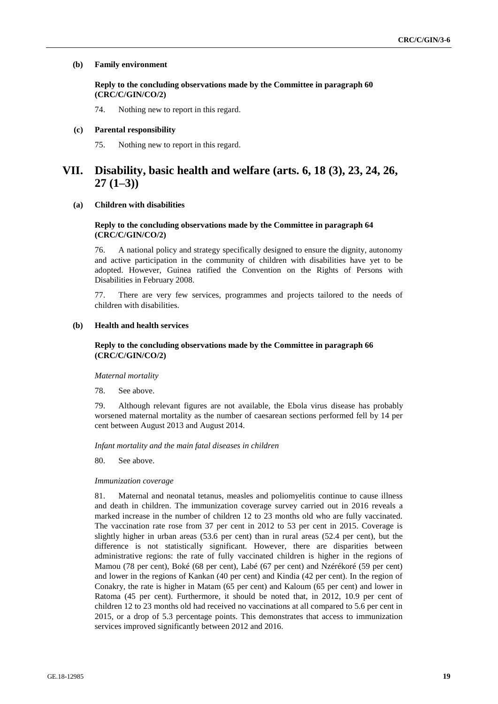#### **(b) Family environment**

**Reply to the concluding observations made by the Committee in paragraph 60 (CRC/C/GIN/CO/2)**

74. Nothing new to report in this regard.

#### **(c) Parental responsibility**

75. Nothing new to report in this regard.

## **VII. Disability, basic health and welfare (arts. 6, 18 (3), 23, 24, 26, 27 (1–3))**

## **(a) Children with disabilities**

#### **Reply to the concluding observations made by the Committee in paragraph 64 (CRC/C/GIN/CO/2)**

76. A national policy and strategy specifically designed to ensure the dignity, autonomy and active participation in the community of children with disabilities have yet to be adopted. However, Guinea ratified the Convention on the Rights of Persons with Disabilities in February 2008.

77. There are very few services, programmes and projects tailored to the needs of children with disabilities.

## **(b) Health and health services**

## **Reply to the concluding observations made by the Committee in paragraph 66 (CRC/C/GIN/CO/2)**

#### *Maternal mortality*

78. See above.

79. Although relevant figures are not available, the Ebola virus disease has probably worsened maternal mortality as the number of caesarean sections performed fell by 14 per cent between August 2013 and August 2014.

*Infant mortality and the main fatal diseases in children*

80. See above.

#### *Immunization coverage*

81. Maternal and neonatal tetanus, measles and poliomyelitis continue to cause illness and death in children. The immunization coverage survey carried out in 2016 reveals a marked increase in the number of children 12 to 23 months old who are fully vaccinated. The vaccination rate rose from 37 per cent in 2012 to 53 per cent in 2015. Coverage is slightly higher in urban areas (53.6 per cent) than in rural areas (52.4 per cent), but the difference is not statistically significant. However, there are disparities between administrative regions: the rate of fully vaccinated children is higher in the regions of Mamou (78 per cent), Boké (68 per cent), Labé (67 per cent) and Nzérékoré (59 per cent) and lower in the regions of Kankan (40 per cent) and Kindia (42 per cent). In the region of Conakry, the rate is higher in Matam (65 per cent) and Kaloum (65 per cent) and lower in Ratoma (45 per cent). Furthermore, it should be noted that, in 2012, 10.9 per cent of children 12 to 23 months old had received no vaccinations at all compared to 5.6 per cent in 2015, or a drop of 5.3 percentage points. This demonstrates that access to immunization services improved significantly between 2012 and 2016.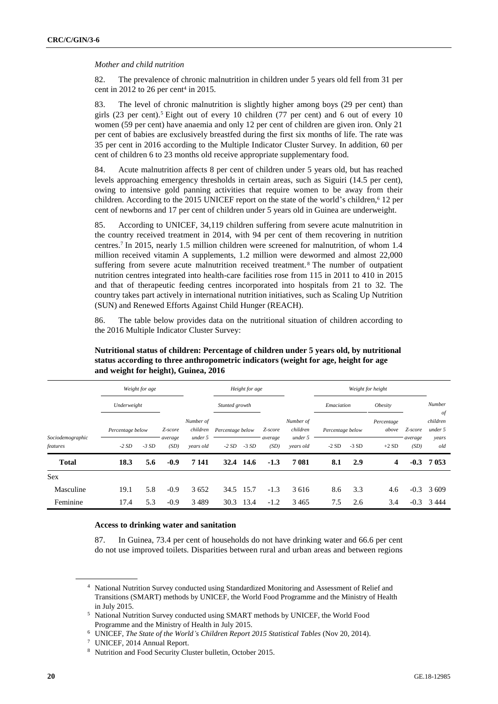#### *Mother and child nutrition*

82. The prevalence of chronic malnutrition in children under 5 years old fell from 31 per cent in 2012 to 26 per cent<sup>4</sup> in 2015.

83. The level of chronic malnutrition is slightly higher among boys (29 per cent) than girls (23 per cent).<sup>5</sup> Eight out of every 10 children (77 per cent) and 6 out of every 10 women (59 per cent) have anaemia and only 12 per cent of children are given iron. Only 21 per cent of babies are exclusively breastfed during the first six months of life. The rate was 35 per cent in 2016 according to the Multiple Indicator Cluster Survey. In addition, 60 per cent of children 6 to 23 months old receive appropriate supplementary food.

84. Acute malnutrition affects 8 per cent of children under 5 years old, but has reached levels approaching emergency thresholds in certain areas, such as Siguiri (14.5 per cent), owing to intensive gold panning activities that require women to be away from their children. According to the 2015 UNICEF report on the state of the world's children,<sup>6</sup> 12 per cent of newborns and 17 per cent of children under 5 years old in Guinea are underweight.

85. According to UNICEF, 34,119 children suffering from severe acute malnutrition in the country received treatment in 2014, with 94 per cent of them recovering in nutrition centres.<sup>7</sup> In 2015, nearly 1.5 million children were screened for malnutrition, of whom 1.4 million received vitamin A supplements, 1.2 million were dewormed and almost 22,000 suffering from severe acute malnutrition received treatment. <sup>8</sup> The number of outpatient nutrition centres integrated into health-care facilities rose from 115 in 2011 to 410 in 2015 and that of therapeutic feeding centres incorporated into hospitals from 21 to 32. The country takes part actively in international nutrition initiatives, such as Scaling Up Nutrition (SUN) and Renewed Efforts Against Child Hunger (REACH).

86. The table below provides data on the nutritional situation of children according to the 2016 Multiple Indicator Cluster Survey:

|                              | Weight for age   |        |                                  |                      | Height for age   |           |                 |                       | Weight for height |        |                       |                 |                           |
|------------------------------|------------------|--------|----------------------------------|----------------------|------------------|-----------|-----------------|-----------------------|-------------------|--------|-----------------------|-----------------|---------------------------|
|                              | Underweight      |        |                                  |                      | Stunted growth   |           |                 |                       | Emaciation        |        | <i><b>Obesity</b></i> |                 | Number                    |
|                              | Percentage below |        | Number of<br>children<br>Z-score |                      | Percentage below |           | Z-score         | Number of<br>children | Percentage below  |        | Percentage<br>above   | Z-score         | of<br>children<br>under 5 |
| Sociodemographic<br>features | $-2SD$           | $-3SD$ | average<br>(SD)                  | under 5<br>vears old | $-2SD$           | $-3SD$    | average<br>(SD) | under 5<br>years old  | $-2SD$            | $-3SD$ | $+2SD$                | average<br>(SD) | years<br>old              |
| <b>Total</b>                 | 18.3             | 5.6    | $-0.9$                           | 7 1 4 1              |                  | 32.4 14.6 | $-1.3$          | 7 081                 | 8.1               | 2.9    | 4                     | $-0.3$          | 7 053                     |
| <b>Sex</b>                   |                  |        |                                  |                      |                  |           |                 |                       |                   |        |                       |                 |                           |
| Masculine                    | 19.1             | 5.8    | $-0.9$                           | 3652                 | 34.5             | 15.7      | $-1.3$          | 3 6 1 6               | 8.6               | 3.3    | 4.6                   | $-0.3$          | 3 609                     |
| Feminine                     | 17.4             | 5.3    | $-0.9$                           | 3 4 8 9              | 30.3             | 13.4      | $-1.2$          | 3465                  | 7.5               | 2.6    | 3.4                   | $-0.3$          | 3444                      |

## **Nutritional status of children: Percentage of children under 5 years old, by nutritional status according to three anthropometric indicators (weight for age, height for age and weight for height), Guinea, 2016**

#### **Access to drinking water and sanitation**

87. In Guinea, 73.4 per cent of households do not have drinking water and 66.6 per cent do not use improved toilets. Disparities between rural and urban areas and between regions

<sup>4</sup> National Nutrition Survey conducted using Standardized Monitoring and Assessment of Relief and Transitions (SMART) methods by UNICEF, the World Food Programme and the Ministry of Health in July 2015.

<sup>5</sup> National Nutrition Survey conducted using SMART methods by UNICEF, the World Food Programme and the Ministry of Health in July 2015.

<sup>6</sup> UNICEF, *The State of the World's Children Report 2015 Statistical Tables* (Nov 20, 2014).

<sup>7</sup> UNICEF, 2014 Annual Report.

<sup>8</sup> Nutrition and Food Security Cluster bulletin, October 2015.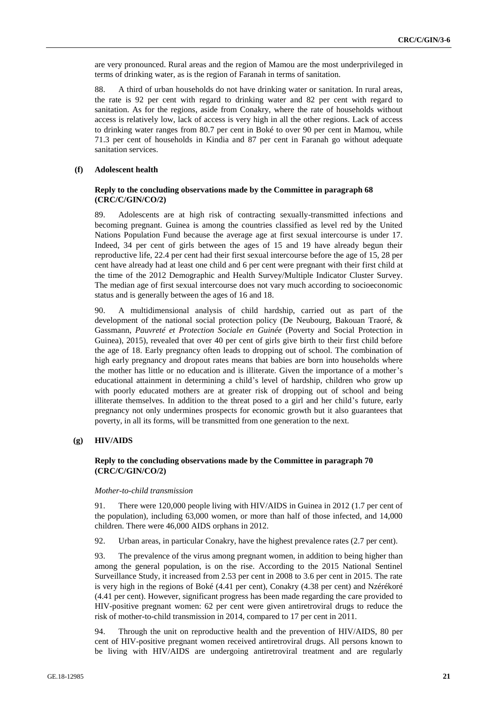are very pronounced. Rural areas and the region of Mamou are the most underprivileged in terms of drinking water, as is the region of Faranah in terms of sanitation.

88. A third of urban households do not have drinking water or sanitation. In rural areas, the rate is 92 per cent with regard to drinking water and 82 per cent with regard to sanitation. As for the regions, aside from Conakry, where the rate of households without access is relatively low, lack of access is very high in all the other regions. Lack of access to drinking water ranges from 80.7 per cent in Boké to over 90 per cent in Mamou, while 71.3 per cent of households in Kindia and 87 per cent in Faranah go without adequate sanitation services.

## **(f) Adolescent health**

### **Reply to the concluding observations made by the Committee in paragraph 68 (CRC/C/GIN/CO/2)**

89. Adolescents are at high risk of contracting sexually-transmitted infections and becoming pregnant. Guinea is among the countries classified as level red by the United Nations Population Fund because the average age at first sexual intercourse is under 17. Indeed, 34 per cent of girls between the ages of 15 and 19 have already begun their reproductive life, 22.4 per cent had their first sexual intercourse before the age of 15, 28 per cent have already had at least one child and 6 per cent were pregnant with their first child at the time of the 2012 Demographic and Health Survey/Multiple Indicator Cluster Survey. The median age of first sexual intercourse does not vary much according to socioeconomic status and is generally between the ages of 16 and 18.

90. A multidimensional analysis of child hardship, carried out as part of the development of the national social protection policy (De Neubourg, Bakouan Traoré, & Gassmann, *Pauvreté et Protection Sociale en Guinée* (Poverty and Social Protection in Guinea), 2015), revealed that over 40 per cent of girls give birth to their first child before the age of 18. Early pregnancy often leads to dropping out of school. The combination of high early pregnancy and dropout rates means that babies are born into households where the mother has little or no education and is illiterate. Given the importance of a mother's educational attainment in determining a child's level of hardship, children who grow up with poorly educated mothers are at greater risk of dropping out of school and being illiterate themselves. In addition to the threat posed to a girl and her child's future, early pregnancy not only undermines prospects for economic growth but it also guarantees that poverty, in all its forms, will be transmitted from one generation to the next.

#### **(g) HIV/AIDS**

## **Reply to the concluding observations made by the Committee in paragraph 70 (CRC/C/GIN/CO/2)**

#### *Mother-to-child transmission*

91. There were 120,000 people living with HIV/AIDS in Guinea in 2012 (1.7 per cent of the population), including 63,000 women, or more than half of those infected, and 14,000 children. There were 46,000 AIDS orphans in 2012.

92. Urban areas, in particular Conakry, have the highest prevalence rates (2.7 per cent).

93. The prevalence of the virus among pregnant women, in addition to being higher than among the general population, is on the rise. According to the 2015 National Sentinel Surveillance Study, it increased from 2.53 per cent in 2008 to 3.6 per cent in 2015. The rate is very high in the regions of Boké (4.41 per cent), Conakry (4.38 per cent) and Nzérékoré (4.41 per cent). However, significant progress has been made regarding the care provided to HIV-positive pregnant women: 62 per cent were given antiretroviral drugs to reduce the risk of mother-to-child transmission in 2014, compared to 17 per cent in 2011.

94. Through the unit on reproductive health and the prevention of HIV/AIDS, 80 per cent of HIV-positive pregnant women received antiretroviral drugs. All persons known to be living with HIV/AIDS are undergoing antiretroviral treatment and are regularly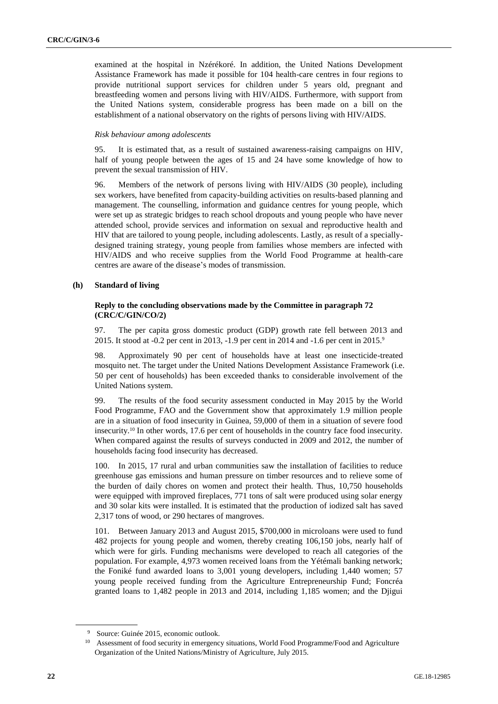examined at the hospital in Nzérékoré. In addition, the United Nations Development Assistance Framework has made it possible for 104 health-care centres in four regions to provide nutritional support services for children under 5 years old, pregnant and breastfeeding women and persons living with HIV/AIDS. Furthermore, with support from the United Nations system, considerable progress has been made on a bill on the establishment of a national observatory on the rights of persons living with HIV/AIDS.

## *Risk behaviour among adolescents*

95. It is estimated that, as a result of sustained awareness-raising campaigns on HIV, half of young people between the ages of 15 and 24 have some knowledge of how to prevent the sexual transmission of HIV.

96. Members of the network of persons living with HIV/AIDS (30 people), including sex workers, have benefited from capacity-building activities on results-based planning and management. The counselling, information and guidance centres for young people, which were set up as strategic bridges to reach school dropouts and young people who have never attended school, provide services and information on sexual and reproductive health and HIV that are tailored to young people, including adolescents. Lastly, as result of a speciallydesigned training strategy, young people from families whose members are infected with HIV/AIDS and who receive supplies from the World Food Programme at health-care centres are aware of the disease's modes of transmission.

## **(h) Standard of living**

## **Reply to the concluding observations made by the Committee in paragraph 72 (CRC/C/GIN/CO/2)**

97. The per capita gross domestic product (GDP) growth rate fell between 2013 and 2015. It stood at -0.2 per cent in 2013, -1.9 per cent in 2014 and -1.6 per cent in 2015.<sup>9</sup>

98. Approximately 90 per cent of households have at least one insecticide-treated mosquito net. The target under the United Nations Development Assistance Framework (i.e. 50 per cent of households) has been exceeded thanks to considerable involvement of the United Nations system.

99. The results of the food security assessment conducted in May 2015 by the World Food Programme, FAO and the Government show that approximately 1.9 million people are in a situation of food insecurity in Guinea, 59,000 of them in a situation of severe food insecurity.<sup>10</sup> In other words, 17.6 per cent of households in the country face food insecurity. When compared against the results of surveys conducted in 2009 and 2012, the number of households facing food insecurity has decreased.

100. In 2015, 17 rural and urban communities saw the installation of facilities to reduce greenhouse gas emissions and human pressure on timber resources and to relieve some of the burden of daily chores on women and protect their health. Thus, 10,750 households were equipped with improved fireplaces, 771 tons of salt were produced using solar energy and 30 solar kits were installed. It is estimated that the production of iodized salt has saved 2,317 tons of wood, or 290 hectares of mangroves.

101. Between January 2013 and August 2015, \$700,000 in microloans were used to fund 482 projects for young people and women, thereby creating 106,150 jobs, nearly half of which were for girls. Funding mechanisms were developed to reach all categories of the population. For example, 4,973 women received loans from the Yétémali banking network; the Foniké fund awarded loans to 3,001 young developers, including 1,440 women; 57 young people received funding from the Agriculture Entrepreneurship Fund; Foncréa granted loans to 1,482 people in 2013 and 2014, including 1,185 women; and the Djigui

<sup>&</sup>lt;sup>9</sup> Source: Guinée 2015, economic outlook.

<sup>&</sup>lt;sup>10</sup> Assessment of food security in emergency situations, World Food Programme/Food and Agriculture Organization of the United Nations/Ministry of Agriculture, July 2015.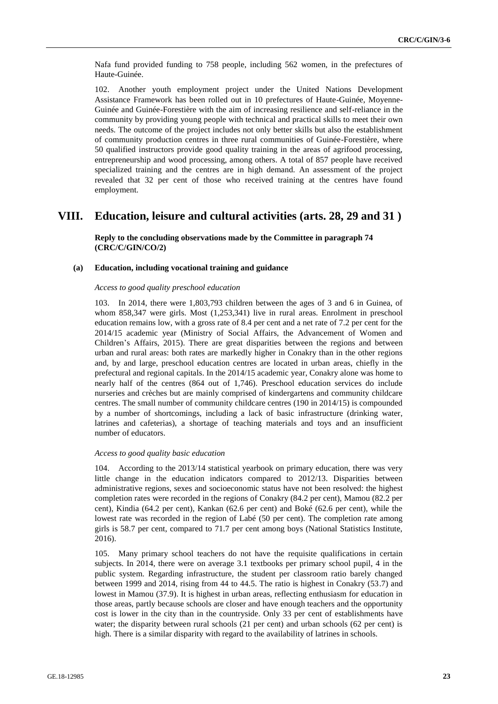Nafa fund provided funding to 758 people, including 562 women, in the prefectures of Haute-Guinée.

102. Another youth employment project under the United Nations Development Assistance Framework has been rolled out in 10 prefectures of Haute-Guinée, Moyenne-Guinée and Guinée-Forestière with the aim of increasing resilience and self-reliance in the community by providing young people with technical and practical skills to meet their own needs. The outcome of the project includes not only better skills but also the establishment of community production centres in three rural communities of Guinée-Forestière, where 50 qualified instructors provide good quality training in the areas of agrifood processing, entrepreneurship and wood processing, among others. A total of 857 people have received specialized training and the centres are in high demand. An assessment of the project revealed that 32 per cent of those who received training at the centres have found employment.

## **VIII. Education, leisure and cultural activities (arts. 28, 29 and 31 )**

**Reply to the concluding observations made by the Committee in paragraph 74 (CRC/C/GIN/CO/2)**

#### **(a) Education, including vocational training and guidance**

#### *Access to good quality preschool education*

103. In 2014, there were 1,803,793 children between the ages of 3 and 6 in Guinea, of whom 858,347 were girls. Most (1,253,341) live in rural areas. Enrolment in preschool education remains low, with a gross rate of 8.4 per cent and a net rate of 7.2 per cent for the 2014/15 academic year (Ministry of Social Affairs, the Advancement of Women and Children's Affairs, 2015). There are great disparities between the regions and between urban and rural areas: both rates are markedly higher in Conakry than in the other regions and, by and large, preschool education centres are located in urban areas, chiefly in the prefectural and regional capitals. In the 2014/15 academic year, Conakry alone was home to nearly half of the centres (864 out of 1,746). Preschool education services do include nurseries and crèches but are mainly comprised of kindergartens and community childcare centres. The small number of community childcare centres (190 in 2014/15) is compounded by a number of shortcomings, including a lack of basic infrastructure (drinking water, latrines and cafeterias), a shortage of teaching materials and toys and an insufficient number of educators.

#### *Access to good quality basic education*

104. According to the 2013/14 statistical yearbook on primary education, there was very little change in the education indicators compared to 2012/13. Disparities between administrative regions, sexes and socioeconomic status have not been resolved: the highest completion rates were recorded in the regions of Conakry (84.2 per cent), Mamou (82.2 per cent), Kindia (64.2 per cent), Kankan (62.6 per cent) and Boké (62.6 per cent), while the lowest rate was recorded in the region of Labé (50 per cent). The completion rate among girls is 58.7 per cent, compared to 71.7 per cent among boys (National Statistics Institute, 2016).

105. Many primary school teachers do not have the requisite qualifications in certain subjects. In 2014, there were on average 3.1 textbooks per primary school pupil, 4 in the public system. Regarding infrastructure, the student per classroom ratio barely changed between 1999 and 2014, rising from 44 to 44.5. The ratio is highest in Conakry (53.7) and lowest in Mamou (37.9). It is highest in urban areas, reflecting enthusiasm for education in those areas, partly because schools are closer and have enough teachers and the opportunity cost is lower in the city than in the countryside. Only 33 per cent of establishments have water; the disparity between rural schools (21 per cent) and urban schools (62 per cent) is high. There is a similar disparity with regard to the availability of latrines in schools.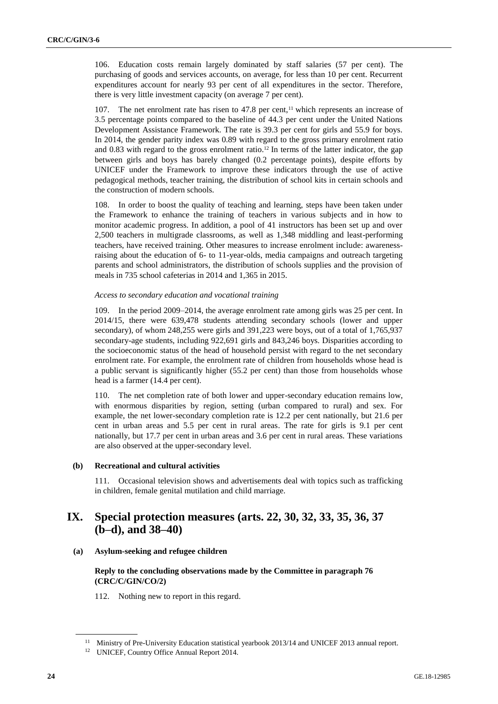106. Education costs remain largely dominated by staff salaries (57 per cent). The purchasing of goods and services accounts, on average, for less than 10 per cent. Recurrent expenditures account for nearly 93 per cent of all expenditures in the sector. Therefore, there is very little investment capacity (on average 7 per cent).

107. The net enrolment rate has risen to  $47.8$  per cent,<sup>11</sup> which represents an increase of 3.5 percentage points compared to the baseline of 44.3 per cent under the United Nations Development Assistance Framework. The rate is 39.3 per cent for girls and 55.9 for boys. In 2014, the gender parity index was 0.89 with regard to the gross primary enrolment ratio and  $0.83$  with regard to the gross enrolment ratio.<sup>12</sup> In terms of the latter indicator, the gap between girls and boys has barely changed (0.2 percentage points), despite efforts by UNICEF under the Framework to improve these indicators through the use of active pedagogical methods, teacher training, the distribution of school kits in certain schools and the construction of modern schools.

108. In order to boost the quality of teaching and learning, steps have been taken under the Framework to enhance the training of teachers in various subjects and in how to monitor academic progress. In addition, a pool of 41 instructors has been set up and over 2,500 teachers in multigrade classrooms, as well as 1,348 middling and least-performing teachers, have received training. Other measures to increase enrolment include: awarenessraising about the education of 6- to 11-year-olds, media campaigns and outreach targeting parents and school administrators, the distribution of schools supplies and the provision of meals in 735 school cafeterias in 2014 and 1,365 in 2015.

#### *Access to secondary education and vocational training*

109. In the period 2009–2014, the average enrolment rate among girls was 25 per cent. In 2014/15, there were 639,478 students attending secondary schools (lower and upper secondary), of whom 248,255 were girls and 391,223 were boys, out of a total of 1,765,937 secondary-age students, including 922,691 girls and 843,246 boys. Disparities according to the socioeconomic status of the head of household persist with regard to the net secondary enrolment rate. For example, the enrolment rate of children from households whose head is a public servant is significantly higher (55.2 per cent) than those from households whose head is a farmer (14.4 per cent).

110. The net completion rate of both lower and upper-secondary education remains low, with enormous disparities by region, setting (urban compared to rural) and sex. For example, the net lower-secondary completion rate is 12.2 per cent nationally, but 21.6 per cent in urban areas and 5.5 per cent in rural areas. The rate for girls is 9.1 per cent nationally, but 17.7 per cent in urban areas and 3.6 per cent in rural areas. These variations are also observed at the upper-secondary level.

#### **(b) Recreational and cultural activities**

111. Occasional television shows and advertisements deal with topics such as trafficking in children, female genital mutilation and child marriage.

## **IX. Special protection measures (arts. 22, 30, 32, 33, 35, 36, 37 (b–d), and 38–40)**

**(a) Asylum-seeking and refugee children**

## **Reply to the concluding observations made by the Committee in paragraph 76 (CRC/C/GIN/CO/2)**

112. Nothing new to report in this regard.

<sup>&</sup>lt;sup>11</sup> Ministry of Pre-University Education statistical yearbook 2013/14 and UNICEF 2013 annual report.

<sup>&</sup>lt;sup>12</sup> UNICEF, Country Office Annual Report 2014.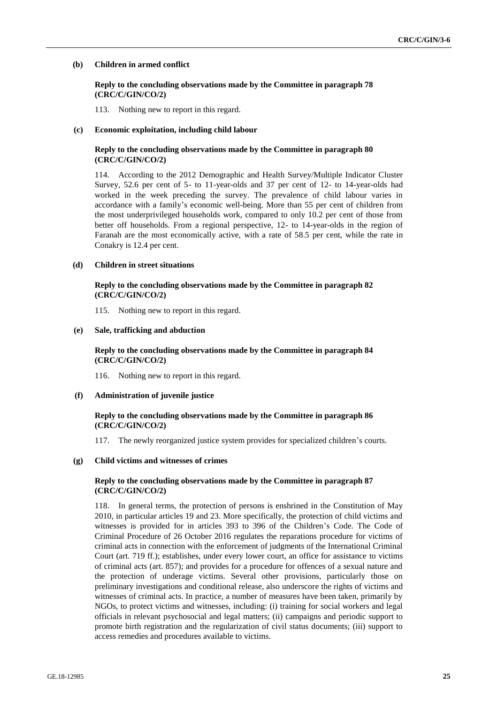#### **(b) Children in armed conflict**

#### **Reply to the concluding observations made by the Committee in paragraph 78 (CRC/C/GIN/CO/2)**

113. Nothing new to report in this regard.

#### **(c) Economic exploitation, including child labour**

#### **Reply to the concluding observations made by the Committee in paragraph 80 (CRC/C/GIN/CO/2)**

114. According to the 2012 Demographic and Health Survey/Multiple Indicator Cluster Survey, 52.6 per cent of 5- to 11-year-olds and 37 per cent of 12- to 14-year-olds had worked in the week preceding the survey. The prevalence of child labour varies in accordance with a family's economic well-being. More than 55 per cent of children from the most underprivileged households work, compared to only 10.2 per cent of those from better off households. From a regional perspective, 12- to 14-year-olds in the region of Faranah are the most economically active, with a rate of 58.5 per cent, while the rate in Conakry is 12.4 per cent.

#### **(d) Children in street situations**

## **Reply to the concluding observations made by the Committee in paragraph 82 (CRC/C/GIN/CO/2)**

115. Nothing new to report in this regard.

#### **(e) Sale, trafficking and abduction**

#### **Reply to the concluding observations made by the Committee in paragraph 84 (CRC/C/GIN/CO/2)**

116. Nothing new to report in this regard.

#### **(f) Administration of juvenile justice**

## **Reply to the concluding observations made by the Committee in paragraph 86 (CRC/C/GIN/CO/2)**

117. The newly reorganized justice system provides for specialized children's courts.

#### **(g) Child victims and witnesses of crimes**

#### **Reply to the concluding observations made by the Committee in paragraph 87 (CRC/C/GIN/CO/2)**

118. In general terms, the protection of persons is enshrined in the Constitution of May 2010, in particular articles 19 and 23. More specifically, the protection of child victims and witnesses is provided for in articles 393 to 396 of the Children's Code. The Code of Criminal Procedure of 26 October 2016 regulates the reparations procedure for victims of criminal acts in connection with the enforcement of judgments of the International Criminal Court (art. 719 ff.); establishes, under every lower court, an office for assistance to victims of criminal acts (art. 857); and provides for a procedure for offences of a sexual nature and the protection of underage victims. Several other provisions, particularly those on preliminary investigations and conditional release, also underscore the rights of victims and witnesses of criminal acts. In practice, a number of measures have been taken, primarily by NGOs, to protect victims and witnesses, including: (i) training for social workers and legal officials in relevant psychosocial and legal matters; (ii) campaigns and periodic support to promote birth registration and the regularization of civil status documents; (iii) support to access remedies and procedures available to victims.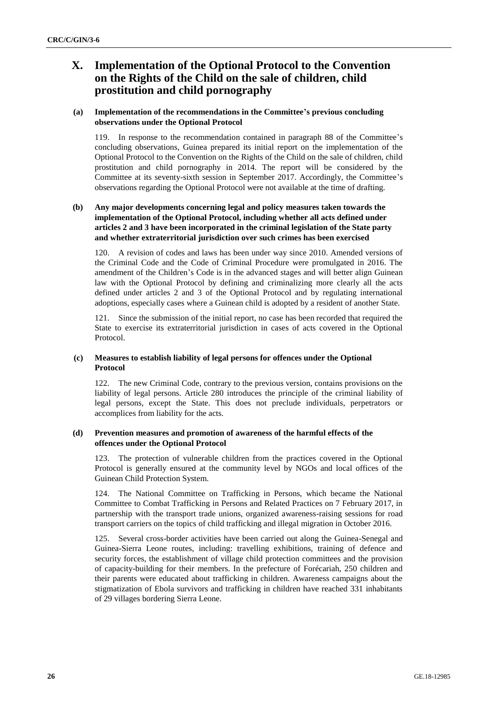## **X. Implementation of the Optional Protocol to the Convention on the Rights of the Child on the sale of children, child prostitution and child pornography**

## **(a) Implementation of the recommendations in the Committee's previous concluding observations under the Optional Protocol**

119. In response to the recommendation contained in paragraph 88 of the Committee's concluding observations, Guinea prepared its initial report on the implementation of the Optional Protocol to the Convention on the Rights of the Child on the sale of children, child prostitution and child pornography in 2014. The report will be considered by the Committee at its seventy-sixth session in September 2017. Accordingly, the Committee's observations regarding the Optional Protocol were not available at the time of drafting.

## **(b) Any major developments concerning legal and policy measures taken towards the implementation of the Optional Protocol, including whether all acts defined under articles 2 and 3 have been incorporated in the criminal legislation of the State party and whether extraterritorial jurisdiction over such crimes has been exercised**

120. A revision of codes and laws has been under way since 2010. Amended versions of the Criminal Code and the Code of Criminal Procedure were promulgated in 2016. The amendment of the Children's Code is in the advanced stages and will better align Guinean law with the Optional Protocol by defining and criminalizing more clearly all the acts defined under articles 2 and 3 of the Optional Protocol and by regulating international adoptions, especially cases where a Guinean child is adopted by a resident of another State.

121. Since the submission of the initial report, no case has been recorded that required the State to exercise its extraterritorial jurisdiction in cases of acts covered in the Optional Protocol.

## **(c) Measures to establish liability of legal persons for offences under the Optional Protocol**

122. The new Criminal Code, contrary to the previous version, contains provisions on the liability of legal persons. Article 280 introduces the principle of the criminal liability of legal persons, except the State. This does not preclude individuals, perpetrators or accomplices from liability for the acts.

## **(d) Prevention measures and promotion of awareness of the harmful effects of the offences under the Optional Protocol**

123. The protection of vulnerable children from the practices covered in the Optional Protocol is generally ensured at the community level by NGOs and local offices of the Guinean Child Protection System.

124. The National Committee on Trafficking in Persons, which became the National Committee to Combat Trafficking in Persons and Related Practices on 7 February 2017, in partnership with the transport trade unions, organized awareness-raising sessions for road transport carriers on the topics of child trafficking and illegal migration in October 2016.

125. Several cross-border activities have been carried out along the Guinea-Senegal and Guinea-Sierra Leone routes, including: travelling exhibitions, training of defence and security forces, the establishment of village child protection committees and the provision of capacity-building for their members. In the prefecture of Forécariah, 250 children and their parents were educated about trafficking in children. Awareness campaigns about the stigmatization of Ebola survivors and trafficking in children have reached 331 inhabitants of 29 villages bordering Sierra Leone.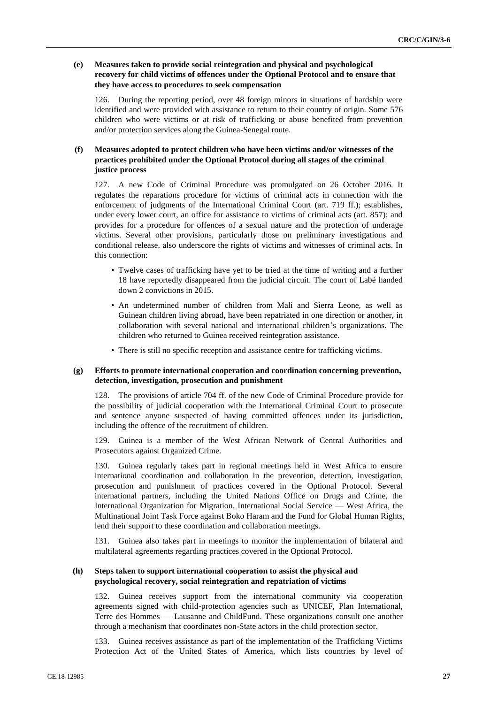## **(e) Measures taken to provide social reintegration and physical and psychological recovery for child victims of offences under the Optional Protocol and to ensure that they have access to procedures to seek compensation**

126. During the reporting period, over 48 foreign minors in situations of hardship were identified and were provided with assistance to return to their country of origin. Some 576 children who were victims or at risk of trafficking or abuse benefited from prevention and/or protection services along the Guinea-Senegal route.

## **(f) Measures adopted to protect children who have been victims and/or witnesses of the practices prohibited under the Optional Protocol during all stages of the criminal justice process**

127. A new Code of Criminal Procedure was promulgated on 26 October 2016. It regulates the reparations procedure for victims of criminal acts in connection with the enforcement of judgments of the International Criminal Court (art. 719 ff.); establishes, under every lower court, an office for assistance to victims of criminal acts (art. 857); and provides for a procedure for offences of a sexual nature and the protection of underage victims. Several other provisions, particularly those on preliminary investigations and conditional release, also underscore the rights of victims and witnesses of criminal acts. In this connection:

- Twelve cases of trafficking have yet to be tried at the time of writing and a further 18 have reportedly disappeared from the judicial circuit. The court of Labé handed down 2 convictions in 2015.
- An undetermined number of children from Mali and Sierra Leone, as well as Guinean children living abroad, have been repatriated in one direction or another, in collaboration with several national and international children's organizations. The children who returned to Guinea received reintegration assistance.
- There is still no specific reception and assistance centre for trafficking victims.

### **(g) Efforts to promote international cooperation and coordination concerning prevention, detection, investigation, prosecution and punishment**

128. The provisions of article 704 ff. of the new Code of Criminal Procedure provide for the possibility of judicial cooperation with the International Criminal Court to prosecute and sentence anyone suspected of having committed offences under its jurisdiction, including the offence of the recruitment of children.

129. Guinea is a member of the West African Network of Central Authorities and Prosecutors against Organized Crime.

130. Guinea regularly takes part in regional meetings held in West Africa to ensure international coordination and collaboration in the prevention, detection, investigation, prosecution and punishment of practices covered in the Optional Protocol. Several international partners, including the United Nations Office on Drugs and Crime, the International Organization for Migration, International Social Service — West Africa, the Multinational Joint Task Force against Boko Haram and the Fund for Global Human Rights, lend their support to these coordination and collaboration meetings.

131. Guinea also takes part in meetings to monitor the implementation of bilateral and multilateral agreements regarding practices covered in the Optional Protocol.

## **(h) Steps taken to support international cooperation to assist the physical and psychological recovery, social reintegration and repatriation of victims**

132. Guinea receives support from the international community via cooperation agreements signed with child-protection agencies such as UNICEF, Plan International, Terre des Hommes — Lausanne and ChildFund. These organizations consult one another through a mechanism that coordinates non-State actors in the child protection sector.

133. Guinea receives assistance as part of the implementation of the Trafficking Victims Protection Act of the United States of America, which lists countries by level of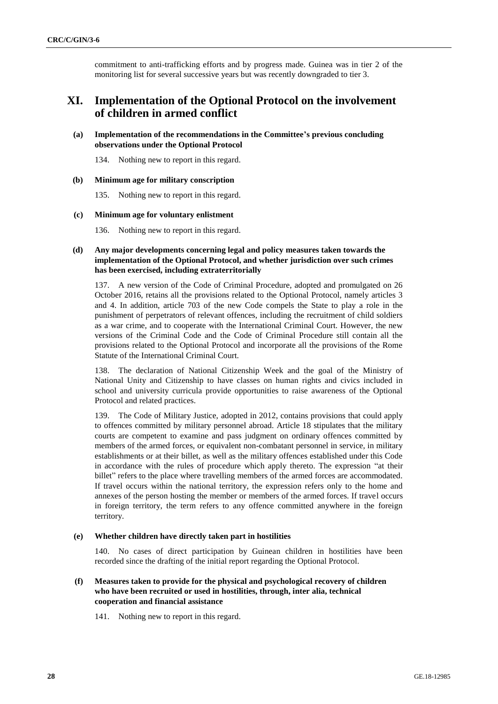commitment to anti-trafficking efforts and by progress made. Guinea was in tier 2 of the monitoring list for several successive years but was recently downgraded to tier 3.

## **XI. Implementation of the Optional Protocol on the involvement of children in armed conflict**

## **(a) Implementation of the recommendations in the Committee's previous concluding observations under the Optional Protocol**

134. Nothing new to report in this regard.

#### **(b) Minimum age for military conscription**

135. Nothing new to report in this regard.

### **(c) Minimum age for voluntary enlistment**

136. Nothing new to report in this regard.

## **(d) Any major developments concerning legal and policy measures taken towards the implementation of the Optional Protocol, and whether jurisdiction over such crimes has been exercised, including extraterritorially**

137. A new version of the Code of Criminal Procedure, adopted and promulgated on 26 October 2016, retains all the provisions related to the Optional Protocol, namely articles 3 and 4. In addition, article 703 of the new Code compels the State to play a role in the punishment of perpetrators of relevant offences, including the recruitment of child soldiers as a war crime, and to cooperate with the International Criminal Court. However, the new versions of the Criminal Code and the Code of Criminal Procedure still contain all the provisions related to the Optional Protocol and incorporate all the provisions of the Rome Statute of the International Criminal Court.

138. The declaration of National Citizenship Week and the goal of the Ministry of National Unity and Citizenship to have classes on human rights and civics included in school and university curricula provide opportunities to raise awareness of the Optional Protocol and related practices.

139. The Code of Military Justice, adopted in 2012, contains provisions that could apply to offences committed by military personnel abroad. Article 18 stipulates that the military courts are competent to examine and pass judgment on ordinary offences committed by members of the armed forces, or equivalent non-combatant personnel in service, in military establishments or at their billet, as well as the military offences established under this Code in accordance with the rules of procedure which apply thereto. The expression "at their billet" refers to the place where travelling members of the armed forces are accommodated. If travel occurs within the national territory, the expression refers only to the home and annexes of the person hosting the member or members of the armed forces. If travel occurs in foreign territory, the term refers to any offence committed anywhere in the foreign territory.

## **(e) Whether children have directly taken part in hostilities**

140. No cases of direct participation by Guinean children in hostilities have been recorded since the drafting of the initial report regarding the Optional Protocol.

## **(f) Measures taken to provide for the physical and psychological recovery of children who have been recruited or used in hostilities, through, inter alia, technical cooperation and financial assistance**

141. Nothing new to report in this regard.